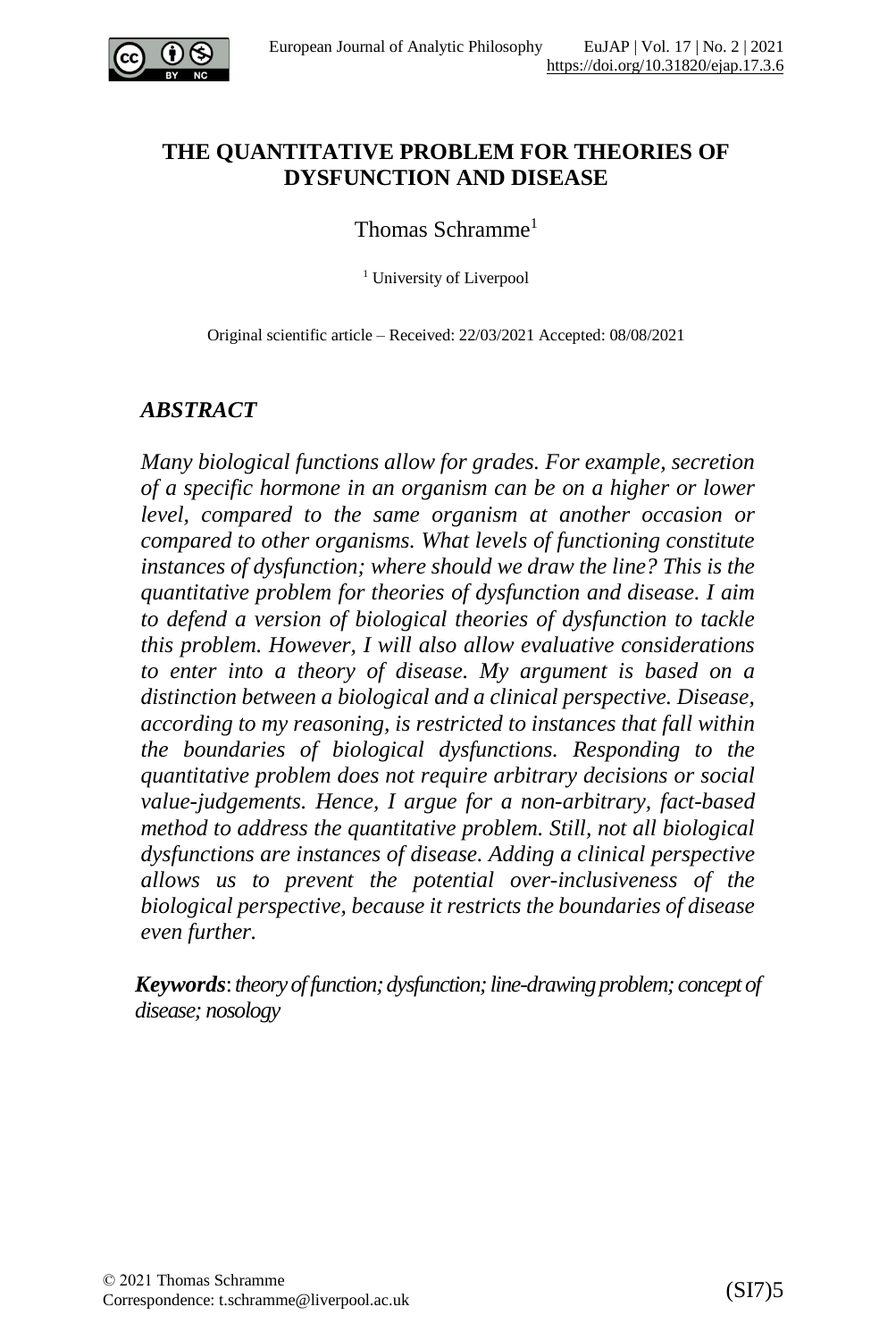

### **THE QUANTITATIVE PROBLEM FOR THEORIES OF DYSFUNCTION AND DISEASE**

#### Thomas Schramme<sup>1</sup>

<sup>1</sup> University of Liverpool

Original scientific article – Received: 22/03/2021 Accepted: 08/08/2021

#### *ABSTRACT*

*Many biological functions allow for grades. For example, secretion of a specific hormone in an organism can be on a higher or lower level, compared to the same organism at another occasion or compared to other organisms. What levels of functioning constitute instances of dysfunction; where should we draw the line? This is the quantitative problem for theories of dysfunction and disease. I aim to defend a version of biological theories of dysfunction to tackle this problem. However, I will also allow evaluative considerations to enter into a theory of disease. My argument is based on a distinction between a biological and a clinical perspective. Disease, according to my reasoning, is restricted to instances that fall within the boundaries of biological dysfunctions. Responding to the quantitative problem does not require arbitrary decisions or social value-judgements. Hence, I argue for a non-arbitrary, fact-based method to address the quantitative problem. Still, not all biological dysfunctions are instances of disease. Adding a clinical perspective allows us to prevent the potential over-inclusiveness of the biological perspective, because it restricts the boundaries of disease even further.*

*Keywords*:*theoryoffunction;dysfunction;line-drawingproblem; concept of disease; nosology*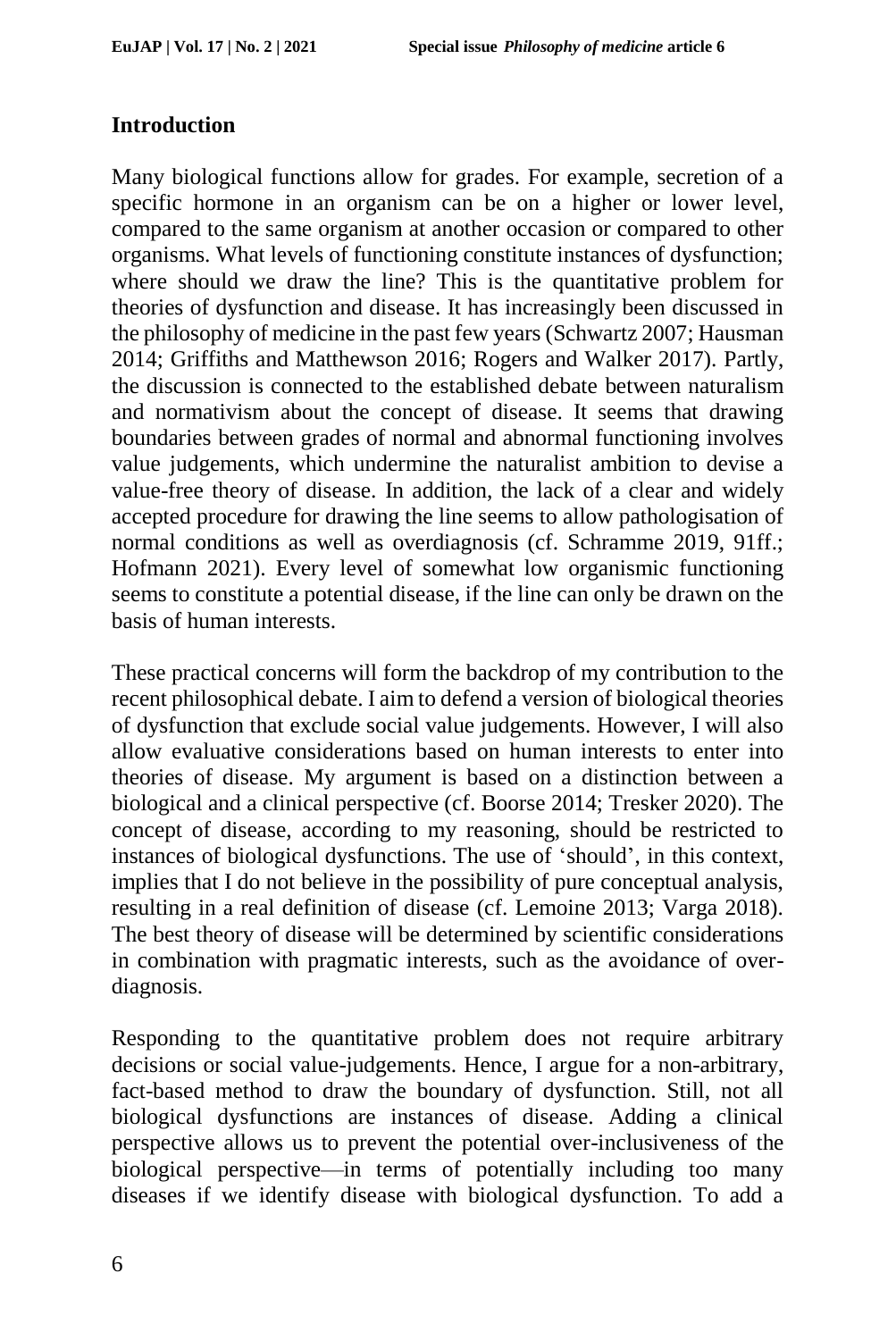## **Introduction**

Many biological functions allow for grades. For example, secretion of a specific hormone in an organism can be on a higher or lower level, compared to the same organism at another occasion or compared to other organisms. What levels of functioning constitute instances of dysfunction; where should we draw the line? This is the quantitative problem for theories of dysfunction and disease. It has increasingly been discussed in the philosophy of medicine in the past few years (Schwartz 2007; Hausman 2014; Griffiths and Matthewson 2016; Rogers and Walker 2017). Partly, the discussion is connected to the established debate between naturalism and normativism about the concept of disease. It seems that drawing boundaries between grades of normal and abnormal functioning involves value judgements, which undermine the naturalist ambition to devise a value-free theory of disease. In addition, the lack of a clear and widely accepted procedure for drawing the line seems to allow pathologisation of normal conditions as well as overdiagnosis (cf. Schramme 2019, 91ff.; Hofmann 2021). Every level of somewhat low organismic functioning seems to constitute a potential disease, if the line can only be drawn on the basis of human interests.

These practical concerns will form the backdrop of my contribution to the recent philosophical debate. I aim to defend a version of biological theories of dysfunction that exclude social value judgements. However, I will also allow evaluative considerations based on human interests to enter into theories of disease. My argument is based on a distinction between a biological and a clinical perspective (cf. Boorse 2014; Tresker 2020). The concept of disease, according to my reasoning, should be restricted to instances of biological dysfunctions. The use of 'should', in this context, implies that I do not believe in the possibility of pure conceptual analysis, resulting in a real definition of disease (cf. Lemoine 2013; Varga 2018). The best theory of disease will be determined by scientific considerations in combination with pragmatic interests, such as the avoidance of overdiagnosis.

Responding to the quantitative problem does not require arbitrary decisions or social value-judgements. Hence, I argue for a non-arbitrary, fact-based method to draw the boundary of dysfunction. Still, not all biological dysfunctions are instances of disease. Adding a clinical perspective allows us to prevent the potential over-inclusiveness of the biological perspective—in terms of potentially including too many diseases if we identify disease with biological dysfunction. To add a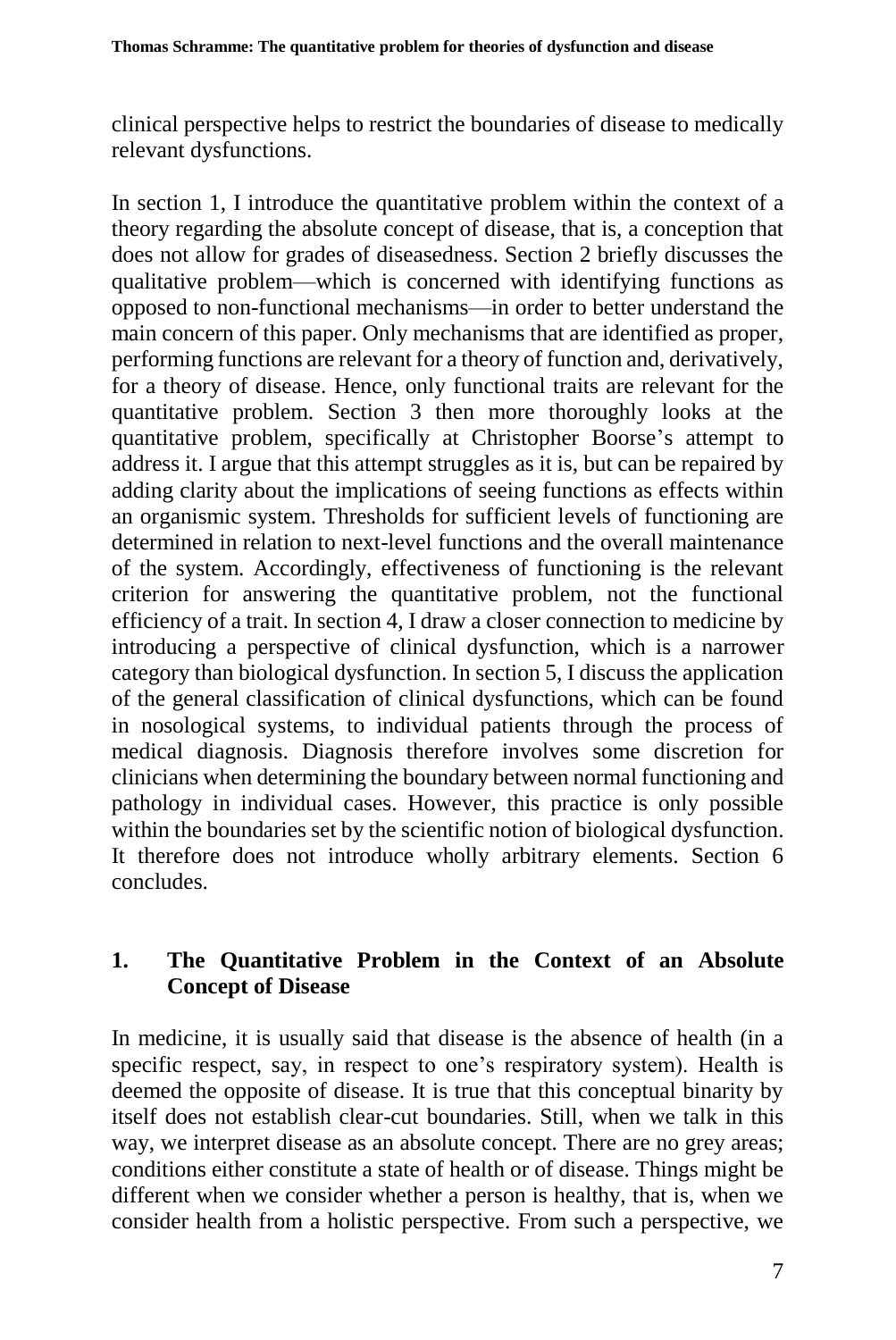clinical perspective helps to restrict the boundaries of disease to medically relevant dysfunctions.

In section 1, I introduce the quantitative problem within the context of a theory regarding the absolute concept of disease, that is, a conception that does not allow for grades of diseasedness. Section 2 briefly discusses the qualitative problem—which is concerned with identifying functions as opposed to non-functional mechanisms—in order to better understand the main concern of this paper. Only mechanisms that are identified as proper, performing functions are relevant for a theory of function and, derivatively, for a theory of disease. Hence, only functional traits are relevant for the quantitative problem. Section 3 then more thoroughly looks at the quantitative problem, specifically at Christopher Boorse's attempt to address it. I argue that this attempt struggles as it is, but can be repaired by adding clarity about the implications of seeing functions as effects within an organismic system. Thresholds for sufficient levels of functioning are determined in relation to next-level functions and the overall maintenance of the system. Accordingly, effectiveness of functioning is the relevant criterion for answering the quantitative problem, not the functional efficiency of a trait. In section 4, I draw a closer connection to medicine by introducing a perspective of clinical dysfunction, which is a narrower category than biological dysfunction. In section 5, I discuss the application of the general classification of clinical dysfunctions, which can be found in nosological systems, to individual patients through the process of medical diagnosis. Diagnosis therefore involves some discretion for clinicians when determining the boundary between normal functioning and pathology in individual cases. However, this practice is only possible within the boundaries set by the scientific notion of biological dysfunction. It therefore does not introduce wholly arbitrary elements. Section 6 concludes.

## **1. The Quantitative Problem in the Context of an Absolute Concept of Disease**

In medicine, it is usually said that disease is the absence of health (in a specific respect, say, in respect to one's respiratory system). Health is deemed the opposite of disease. It is true that this conceptual binarity by itself does not establish clear-cut boundaries. Still, when we talk in this way, we interpret disease as an absolute concept. There are no grey areas; conditions either constitute a state of health or of disease. Things might be different when we consider whether a person is healthy, that is, when we consider health from a holistic perspective. From such a perspective, we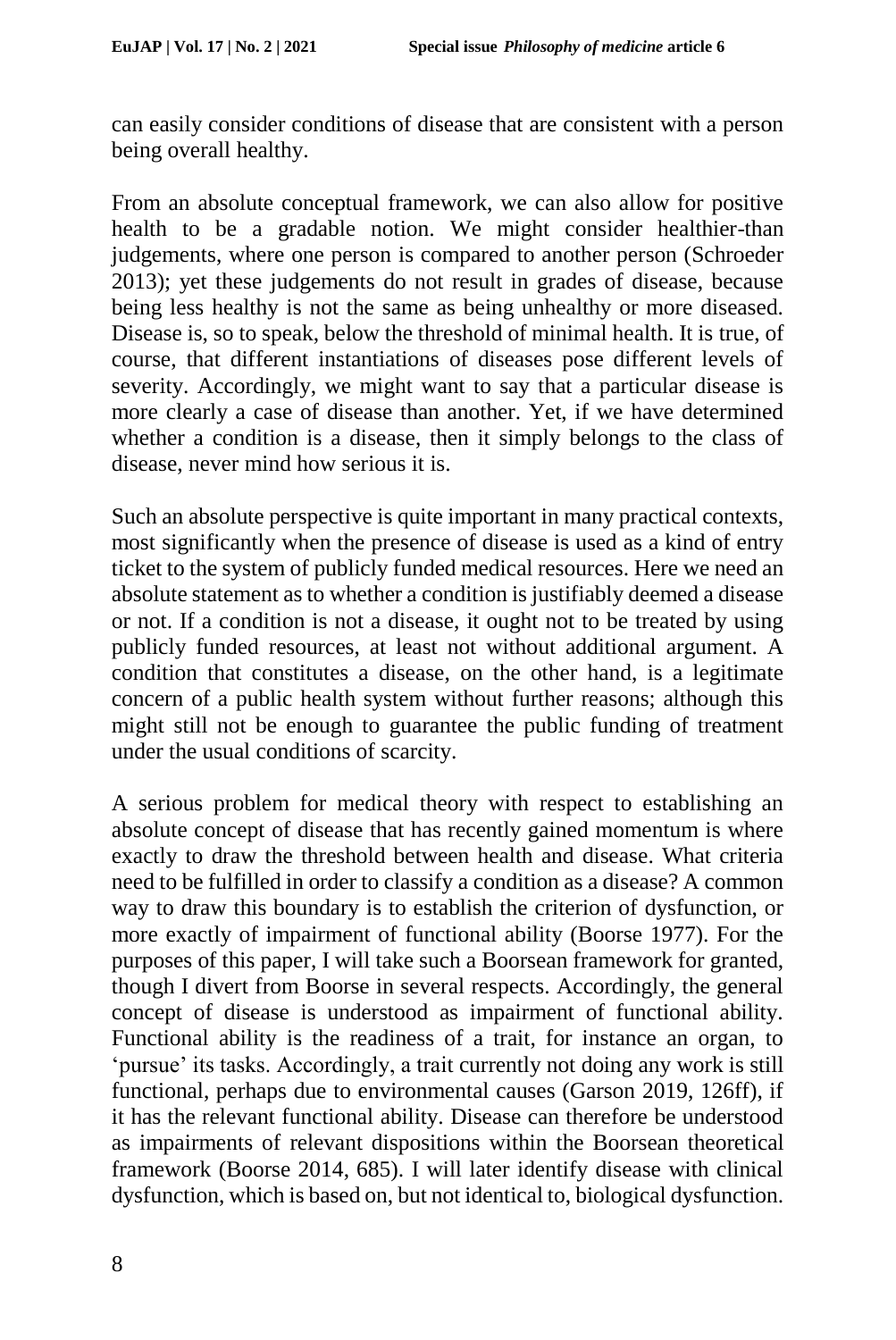can easily consider conditions of disease that are consistent with a person being overall healthy.

From an absolute conceptual framework, we can also allow for positive health to be a gradable notion. We might consider healthier-than judgements, where one person is compared to another person (Schroeder 2013); yet these judgements do not result in grades of disease, because being less healthy is not the same as being unhealthy or more diseased. Disease is, so to speak, below the threshold of minimal health. It is true, of course, that different instantiations of diseases pose different levels of severity. Accordingly, we might want to say that a particular disease is more clearly a case of disease than another. Yet, if we have determined whether a condition is a disease, then it simply belongs to the class of disease, never mind how serious it is.

Such an absolute perspective is quite important in many practical contexts, most significantly when the presence of disease is used as a kind of entry ticket to the system of publicly funded medical resources. Here we need an absolute statement as to whether a condition is justifiably deemed a disease or not. If a condition is not a disease, it ought not to be treated by using publicly funded resources, at least not without additional argument. A condition that constitutes a disease, on the other hand, is a legitimate concern of a public health system without further reasons; although this might still not be enough to guarantee the public funding of treatment under the usual conditions of scarcity.

A serious problem for medical theory with respect to establishing an absolute concept of disease that has recently gained momentum is where exactly to draw the threshold between health and disease. What criteria need to be fulfilled in order to classify a condition as a disease? A common way to draw this boundary is to establish the criterion of dysfunction, or more exactly of impairment of functional ability (Boorse 1977). For the purposes of this paper, I will take such a Boorsean framework for granted, though I divert from Boorse in several respects. Accordingly, the general concept of disease is understood as impairment of functional ability. Functional ability is the readiness of a trait, for instance an organ, to 'pursue' its tasks. Accordingly, a trait currently not doing any work is still functional, perhaps due to environmental causes (Garson 2019, 126ff), if it has the relevant functional ability. Disease can therefore be understood as impairments of relevant dispositions within the Boorsean theoretical framework (Boorse 2014, 685). I will later identify disease with clinical dysfunction, which is based on, but not identical to, biological dysfunction.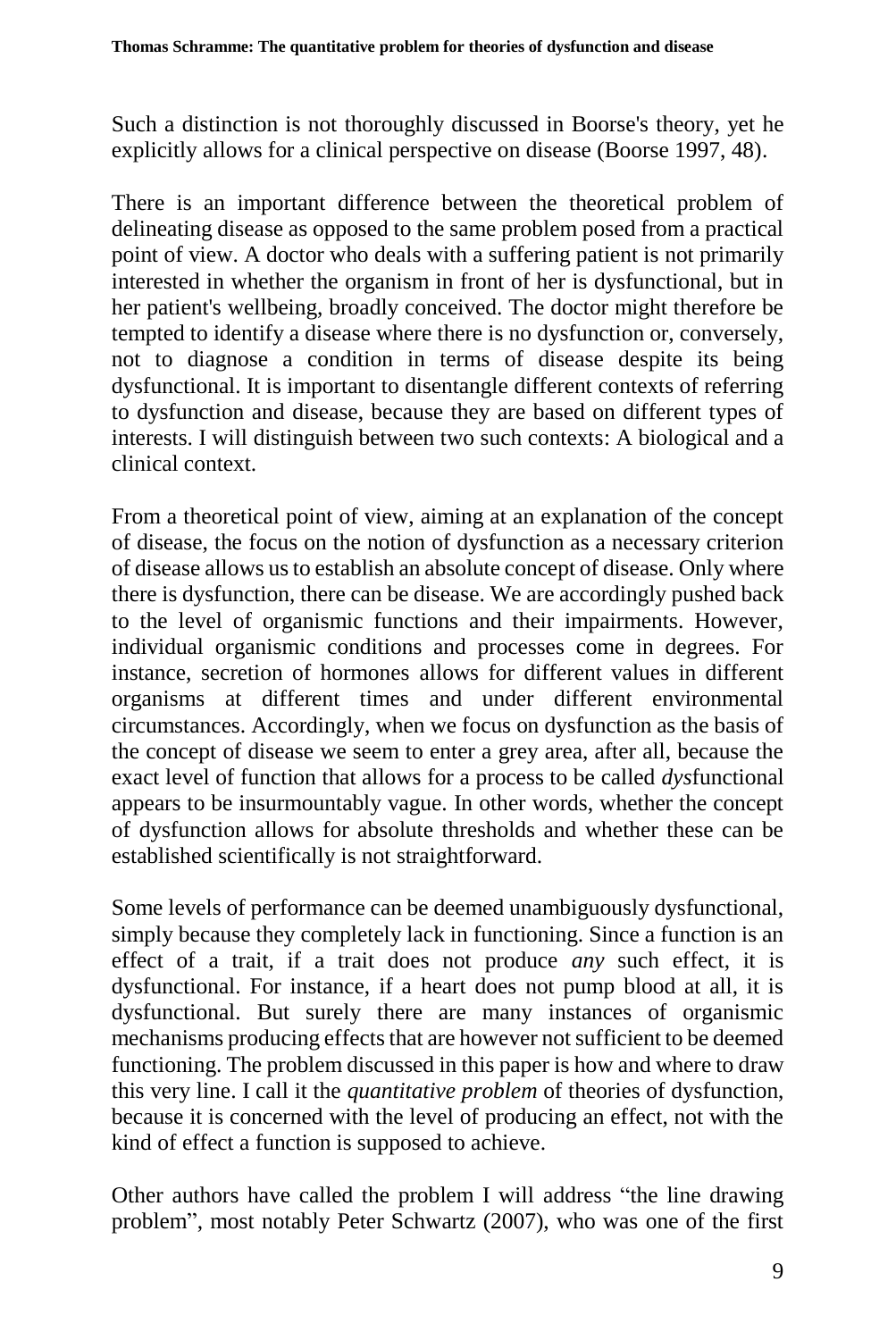Such a distinction is not thoroughly discussed in Boorse's theory, yet he explicitly allows for a clinical perspective on disease (Boorse 1997, 48).

There is an important difference between the theoretical problem of delineating disease as opposed to the same problem posed from a practical point of view. A doctor who deals with a suffering patient is not primarily interested in whether the organism in front of her is dysfunctional, but in her patient's wellbeing, broadly conceived. The doctor might therefore be tempted to identify a disease where there is no dysfunction or, conversely, not to diagnose a condition in terms of disease despite its being dysfunctional. It is important to disentangle different contexts of referring to dysfunction and disease, because they are based on different types of interests. I will distinguish between two such contexts: A biological and a clinical context.

From a theoretical point of view, aiming at an explanation of the concept of disease, the focus on the notion of dysfunction as a necessary criterion of disease allows us to establish an absolute concept of disease. Only where there is dysfunction, there can be disease. We are accordingly pushed back to the level of organismic functions and their impairments. However, individual organismic conditions and processes come in degrees. For instance, secretion of hormones allows for different values in different organisms at different times and under different environmental circumstances. Accordingly, when we focus on dysfunction as the basis of the concept of disease we seem to enter a grey area, after all, because the exact level of function that allows for a process to be called *dys*functional appears to be insurmountably vague. In other words, whether the concept of dysfunction allows for absolute thresholds and whether these can be established scientifically is not straightforward.

Some levels of performance can be deemed unambiguously dysfunctional, simply because they completely lack in functioning. Since a function is an effect of a trait, if a trait does not produce *any* such effect, it is dysfunctional. For instance, if a heart does not pump blood at all, it is dysfunctional. But surely there are many instances of organismic mechanisms producing effects that are however not sufficient to be deemed functioning. The problem discussed in this paper is how and where to draw this very line. I call it the *quantitative problem* of theories of dysfunction, because it is concerned with the level of producing an effect, not with the kind of effect a function is supposed to achieve.

Other authors have called the problem I will address "the line drawing problem", most notably Peter Schwartz (2007), who was one of the first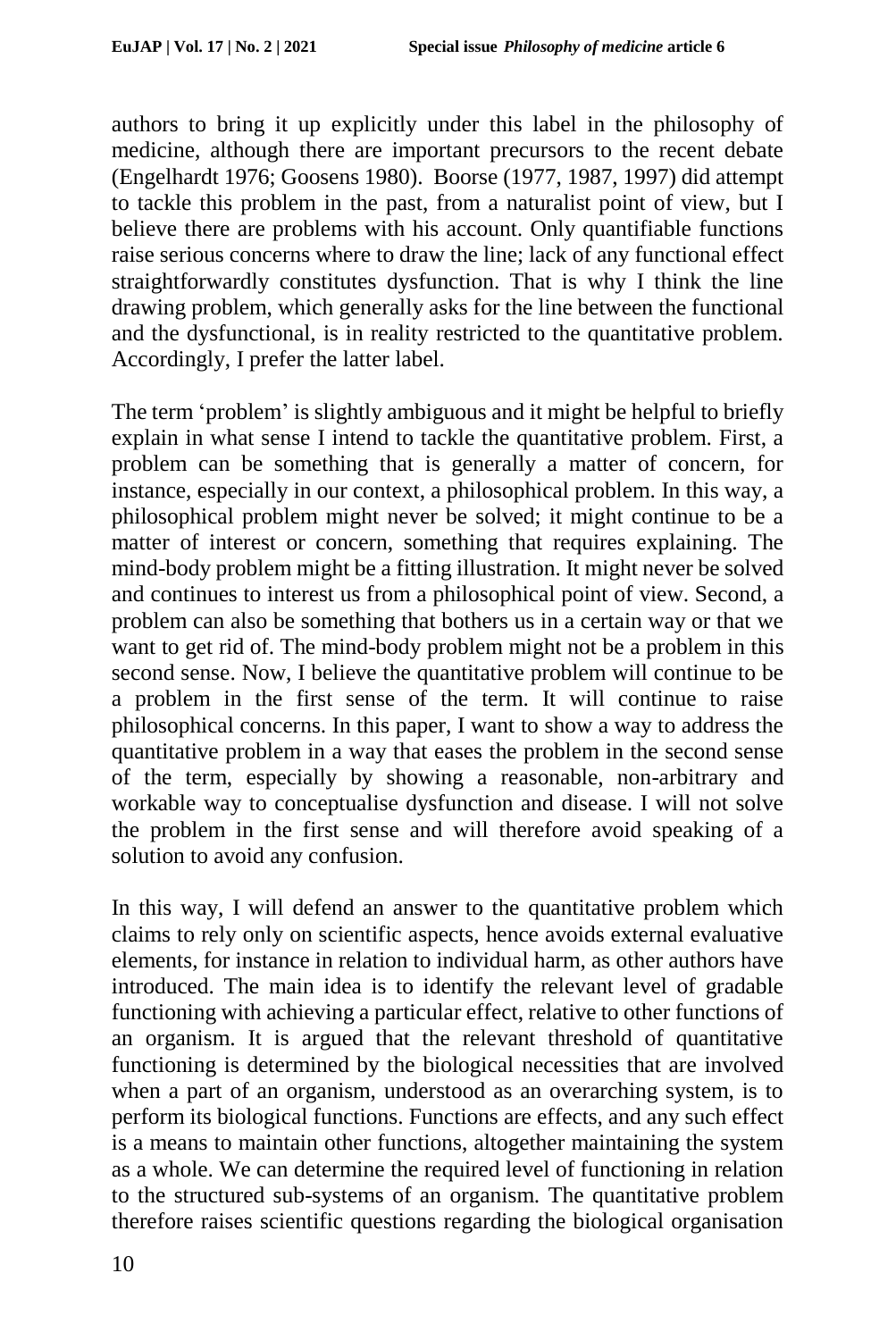authors to bring it up explicitly under this label in the philosophy of medicine, although there are important precursors to the recent debate (Engelhardt 1976; Goosens 1980). Boorse (1977, 1987, 1997) did attempt to tackle this problem in the past, from a naturalist point of view, but I believe there are problems with his account. Only quantifiable functions raise serious concerns where to draw the line; lack of any functional effect straightforwardly constitutes dysfunction. That is why I think the line drawing problem, which generally asks for the line between the functional and the dysfunctional, is in reality restricted to the quantitative problem. Accordingly, I prefer the latter label.

The term 'problem' is slightly ambiguous and it might be helpful to briefly explain in what sense I intend to tackle the quantitative problem. First, a problem can be something that is generally a matter of concern, for instance, especially in our context, a philosophical problem. In this way, a philosophical problem might never be solved; it might continue to be a matter of interest or concern, something that requires explaining. The mind-body problem might be a fitting illustration. It might never be solved and continues to interest us from a philosophical point of view. Second, a problem can also be something that bothers us in a certain way or that we want to get rid of. The mind-body problem might not be a problem in this second sense. Now, I believe the quantitative problem will continue to be a problem in the first sense of the term. It will continue to raise philosophical concerns. In this paper, I want to show a way to address the quantitative problem in a way that eases the problem in the second sense of the term, especially by showing a reasonable, non-arbitrary and workable way to conceptualise dysfunction and disease. I will not solve the problem in the first sense and will therefore avoid speaking of a solution to avoid any confusion.

In this way, I will defend an answer to the quantitative problem which claims to rely only on scientific aspects, hence avoids external evaluative elements, for instance in relation to individual harm, as other authors have introduced. The main idea is to identify the relevant level of gradable functioning with achieving a particular effect, relative to other functions of an organism. It is argued that the relevant threshold of quantitative functioning is determined by the biological necessities that are involved when a part of an organism, understood as an overarching system, is to perform its biological functions. Functions are effects, and any such effect is a means to maintain other functions, altogether maintaining the system as a whole. We can determine the required level of functioning in relation to the structured sub-systems of an organism. The quantitative problem therefore raises scientific questions regarding the biological organisation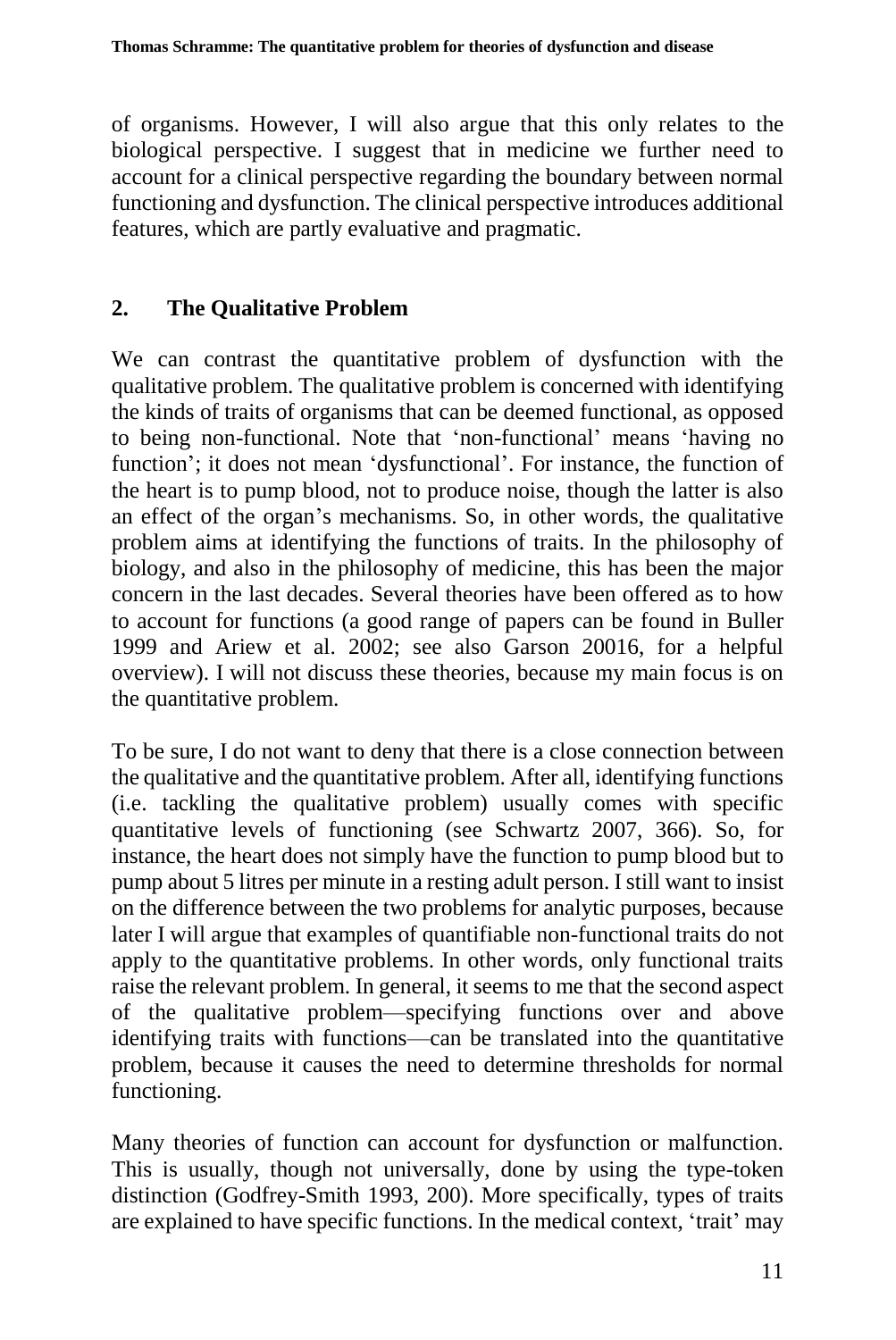of organisms. However, I will also argue that this only relates to the biological perspective. I suggest that in medicine we further need to account for a clinical perspective regarding the boundary between normal functioning and dysfunction. The clinical perspective introduces additional features, which are partly evaluative and pragmatic.

## **2. The Qualitative Problem**

We can contrast the quantitative problem of dysfunction with the qualitative problem. The qualitative problem is concerned with identifying the kinds of traits of organisms that can be deemed functional, as opposed to being non-functional. Note that 'non-functional' means 'having no function'; it does not mean 'dysfunctional'. For instance, the function of the heart is to pump blood, not to produce noise, though the latter is also an effect of the organ's mechanisms. So, in other words, the qualitative problem aims at identifying the functions of traits. In the philosophy of biology, and also in the philosophy of medicine, this has been the major concern in the last decades. Several theories have been offered as to how to account for functions (a good range of papers can be found in Buller 1999 and Ariew et al. 2002; see also Garson 20016, for a helpful overview). I will not discuss these theories, because my main focus is on the quantitative problem.

To be sure, I do not want to deny that there is a close connection between the qualitative and the quantitative problem. After all, identifying functions (i.e. tackling the qualitative problem) usually comes with specific quantitative levels of functioning (see Schwartz 2007, 366). So, for instance, the heart does not simply have the function to pump blood but to pump about 5 litres per minute in a resting adult person. I still want to insist on the difference between the two problems for analytic purposes, because later I will argue that examples of quantifiable non-functional traits do not apply to the quantitative problems. In other words, only functional traits raise the relevant problem. In general, it seems to me that the second aspect of the qualitative problem—specifying functions over and above identifying traits with functions—can be translated into the quantitative problem, because it causes the need to determine thresholds for normal functioning.

Many theories of function can account for dysfunction or malfunction. This is usually, though not universally, done by using the type-token distinction (Godfrey-Smith 1993, 200). More specifically, types of traits are explained to have specific functions. In the medical context, 'trait' may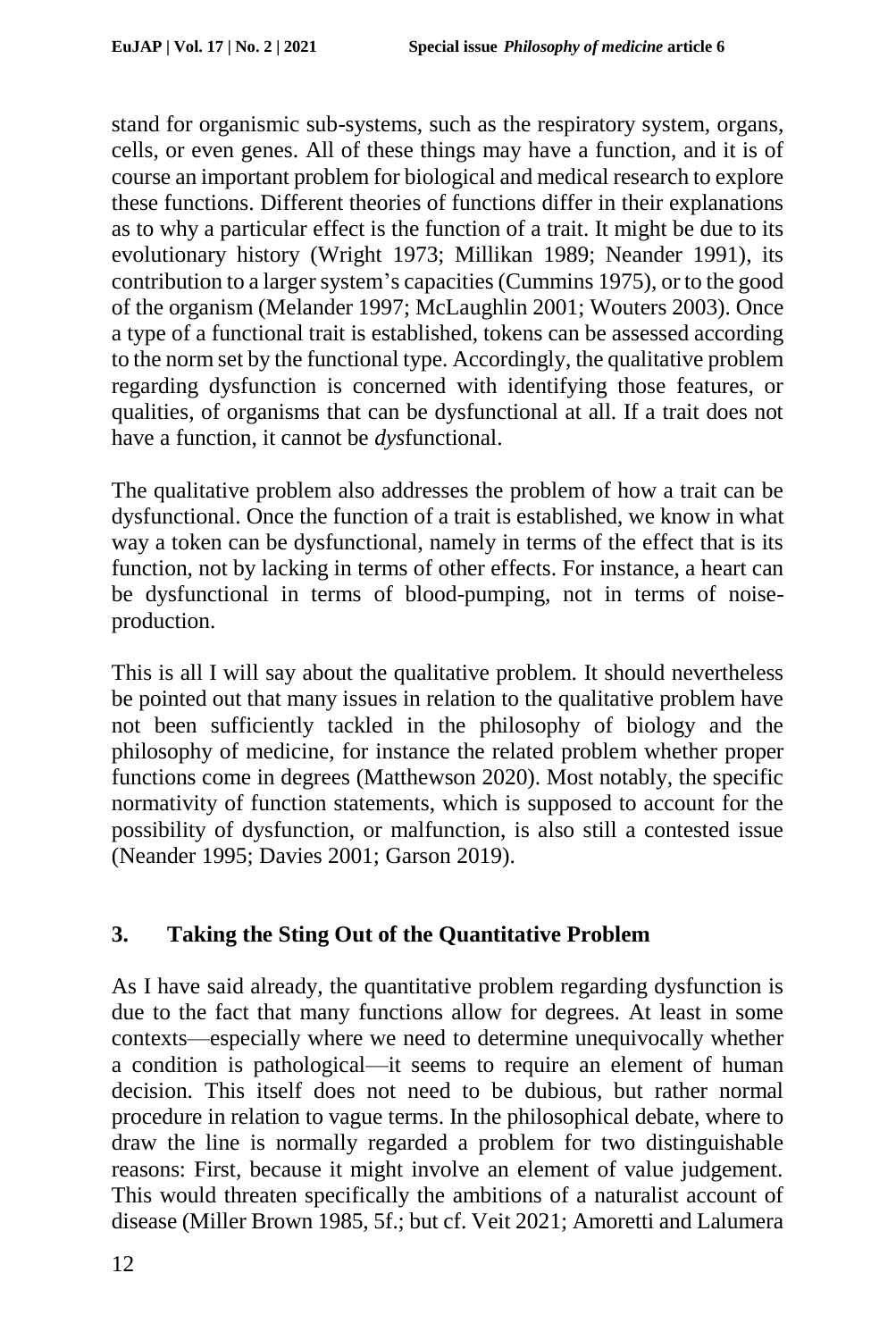stand for organismic sub-systems, such as the respiratory system, organs, cells, or even genes. All of these things may have a function, and it is of course an important problem for biological and medical research to explore these functions. Different theories of functions differ in their explanations as to why a particular effect is the function of a trait. It might be due to its evolutionary history (Wright 1973; Millikan 1989; Neander 1991), its contribution to a larger system's capacities (Cummins 1975), or to the good of the organism (Melander 1997; McLaughlin 2001; Wouters 2003). Once a type of a functional trait is established, tokens can be assessed according to the norm set by the functional type. Accordingly, the qualitative problem regarding dysfunction is concerned with identifying those features, or qualities, of organisms that can be dysfunctional at all. If a trait does not have a function, it cannot be *dys*functional.

The qualitative problem also addresses the problem of how a trait can be dysfunctional. Once the function of a trait is established, we know in what way a token can be dysfunctional, namely in terms of the effect that is its function, not by lacking in terms of other effects. For instance, a heart can be dysfunctional in terms of blood-pumping, not in terms of noiseproduction.

This is all I will say about the qualitative problem. It should nevertheless be pointed out that many issues in relation to the qualitative problem have not been sufficiently tackled in the philosophy of biology and the philosophy of medicine, for instance the related problem whether proper functions come in degrees (Matthewson 2020). Most notably, the specific normativity of function statements, which is supposed to account for the possibility of dysfunction, or malfunction, is also still a contested issue (Neander 1995; Davies 2001; Garson 2019).

# **3. Taking the Sting Out of the Quantitative Problem**

As I have said already, the quantitative problem regarding dysfunction is due to the fact that many functions allow for degrees. At least in some contexts—especially where we need to determine unequivocally whether a condition is pathological—it seems to require an element of human decision. This itself does not need to be dubious, but rather normal procedure in relation to vague terms. In the philosophical debate, where to draw the line is normally regarded a problem for two distinguishable reasons: First, because it might involve an element of value judgement. This would threaten specifically the ambitions of a naturalist account of disease (Miller Brown 1985, 5f.; but cf. Veit 2021; Amoretti and Lalumera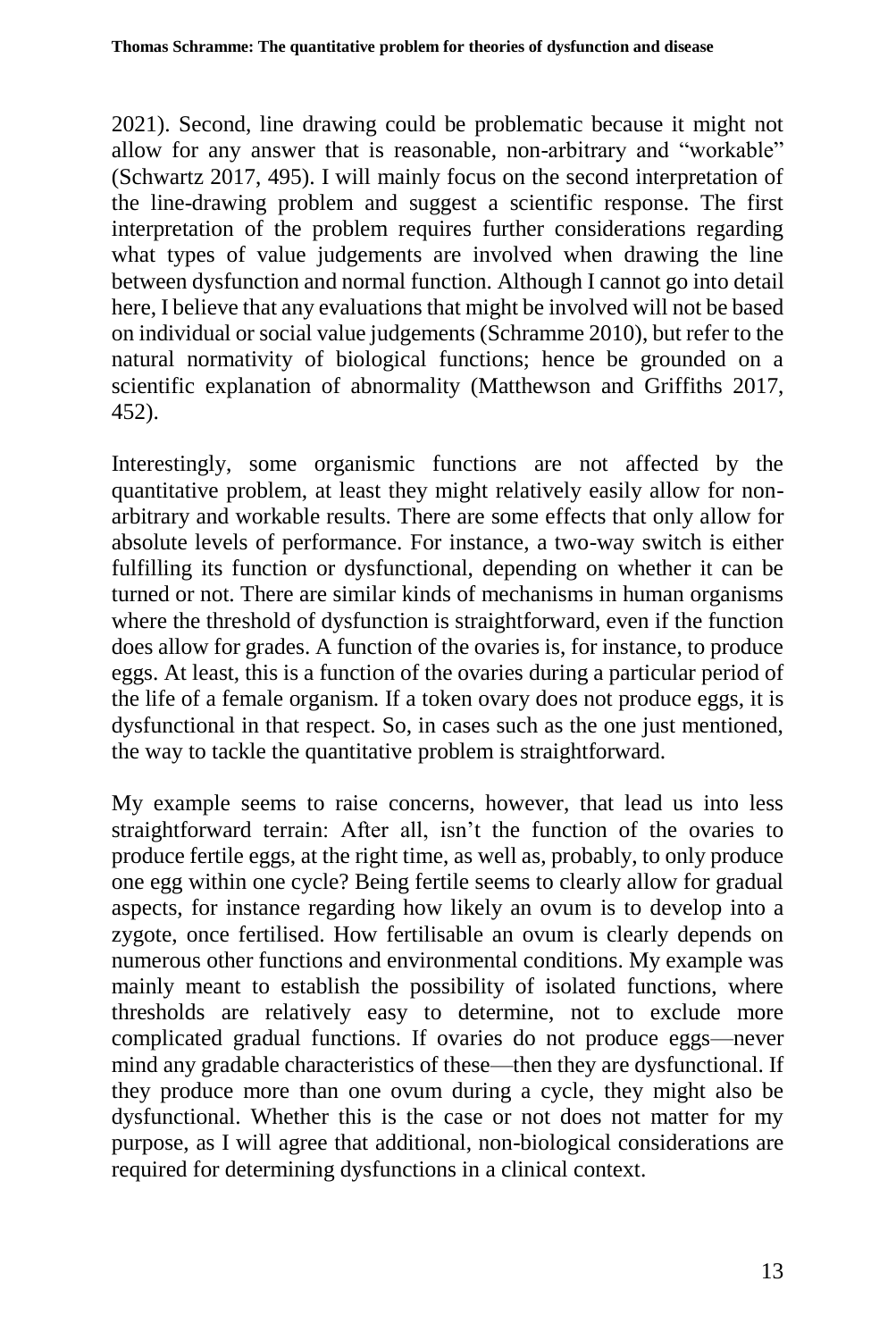2021). Second, line drawing could be problematic because it might not allow for any answer that is reasonable, non-arbitrary and "workable" (Schwartz 2017, 495). I will mainly focus on the second interpretation of the line-drawing problem and suggest a scientific response. The first interpretation of the problem requires further considerations regarding what types of value judgements are involved when drawing the line between dysfunction and normal function. Although I cannot go into detail here, I believe that any evaluations that might be involved will not be based on individual or social value judgements (Schramme 2010), but refer to the natural normativity of biological functions; hence be grounded on a scientific explanation of abnormality (Matthewson and Griffiths 2017, 452).

Interestingly, some organismic functions are not affected by the quantitative problem, at least they might relatively easily allow for nonarbitrary and workable results. There are some effects that only allow for absolute levels of performance. For instance, a two-way switch is either fulfilling its function or dysfunctional, depending on whether it can be turned or not. There are similar kinds of mechanisms in human organisms where the threshold of dysfunction is straightforward, even if the function does allow for grades. A function of the ovaries is, for instance, to produce eggs. At least, this is a function of the ovaries during a particular period of the life of a female organism. If a token ovary does not produce eggs, it is dysfunctional in that respect. So, in cases such as the one just mentioned, the way to tackle the quantitative problem is straightforward.

My example seems to raise concerns, however, that lead us into less straightforward terrain: After all, isn't the function of the ovaries to produce fertile eggs, at the right time, as well as, probably, to only produce one egg within one cycle? Being fertile seems to clearly allow for gradual aspects, for instance regarding how likely an ovum is to develop into a zygote, once fertilised. How fertilisable an ovum is clearly depends on numerous other functions and environmental conditions. My example was mainly meant to establish the possibility of isolated functions, where thresholds are relatively easy to determine, not to exclude more complicated gradual functions. If ovaries do not produce eggs—never mind any gradable characteristics of these—then they are dysfunctional. If they produce more than one ovum during a cycle, they might also be dysfunctional. Whether this is the case or not does not matter for my purpose, as I will agree that additional, non-biological considerations are required for determining dysfunctions in a clinical context.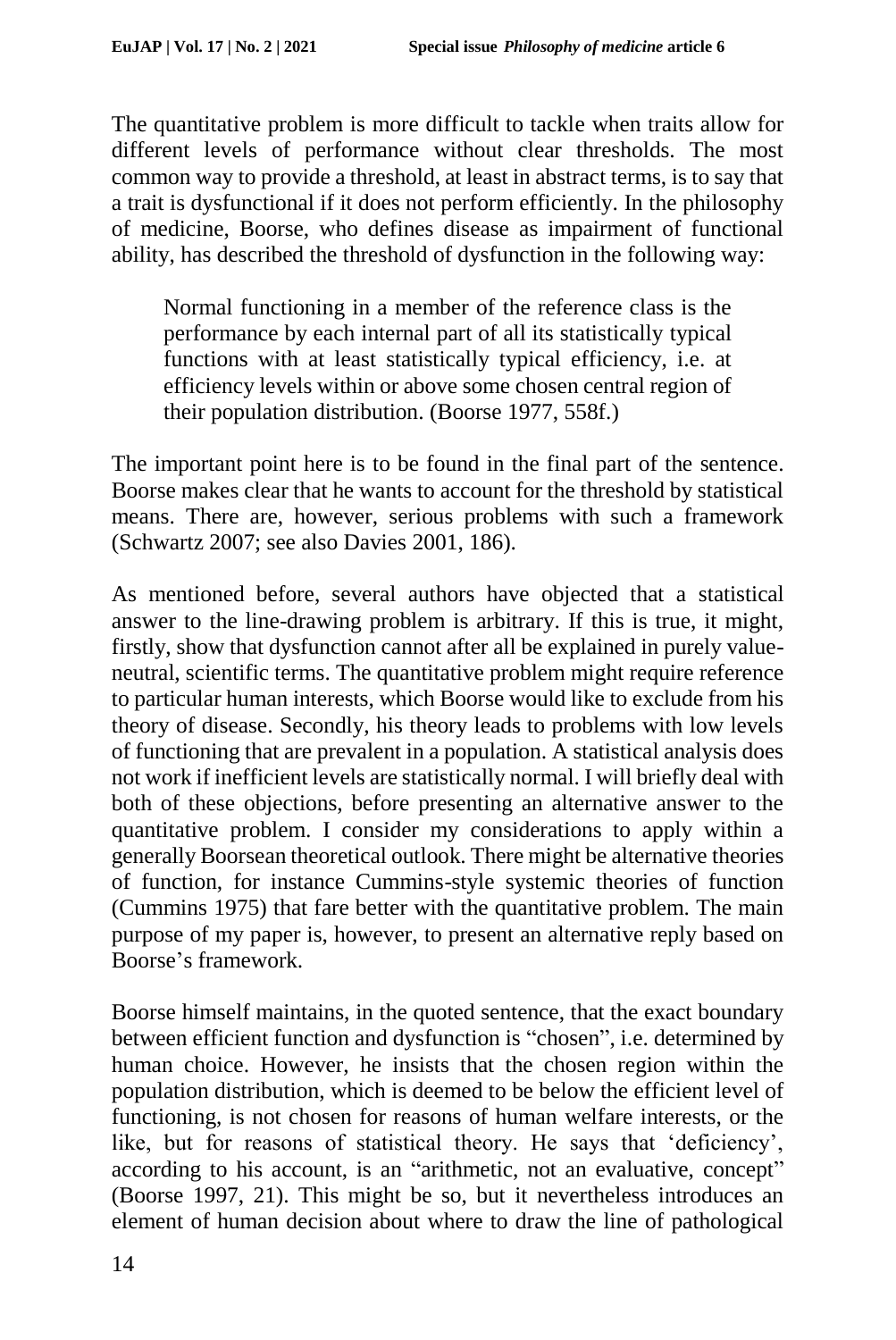The quantitative problem is more difficult to tackle when traits allow for different levels of performance without clear thresholds. The most common way to provide a threshold, at least in abstract terms, is to say that a trait is dysfunctional if it does not perform efficiently. In the philosophy of medicine, Boorse, who defines disease as impairment of functional ability, has described the threshold of dysfunction in the following way:

Normal functioning in a member of the reference class is the performance by each internal part of all its statistically typical functions with at least statistically typical efficiency, i.e. at efficiency levels within or above some chosen central region of their population distribution. (Boorse 1977, 558f.)

The important point here is to be found in the final part of the sentence. Boorse makes clear that he wants to account for the threshold by statistical means. There are, however, serious problems with such a framework (Schwartz 2007; see also Davies 2001, 186).

As mentioned before, several authors have objected that a statistical answer to the line-drawing problem is arbitrary. If this is true, it might, firstly, show that dysfunction cannot after all be explained in purely valueneutral, scientific terms. The quantitative problem might require reference to particular human interests, which Boorse would like to exclude from his theory of disease. Secondly, his theory leads to problems with low levels of functioning that are prevalent in a population. A statistical analysis does not work if inefficient levels are statistically normal. I will briefly deal with both of these objections, before presenting an alternative answer to the quantitative problem. I consider my considerations to apply within a generally Boorsean theoretical outlook. There might be alternative theories of function, for instance Cummins-style systemic theories of function (Cummins 1975) that fare better with the quantitative problem. The main purpose of my paper is, however, to present an alternative reply based on Boorse's framework.

Boorse himself maintains, in the quoted sentence, that the exact boundary between efficient function and dysfunction is "chosen", i.e. determined by human choice. However, he insists that the chosen region within the population distribution, which is deemed to be below the efficient level of functioning, is not chosen for reasons of human welfare interests, or the like, but for reasons of statistical theory. He says that 'deficiency', according to his account, is an "arithmetic, not an evaluative, concept" (Boorse 1997, 21). This might be so, but it nevertheless introduces an element of human decision about where to draw the line of pathological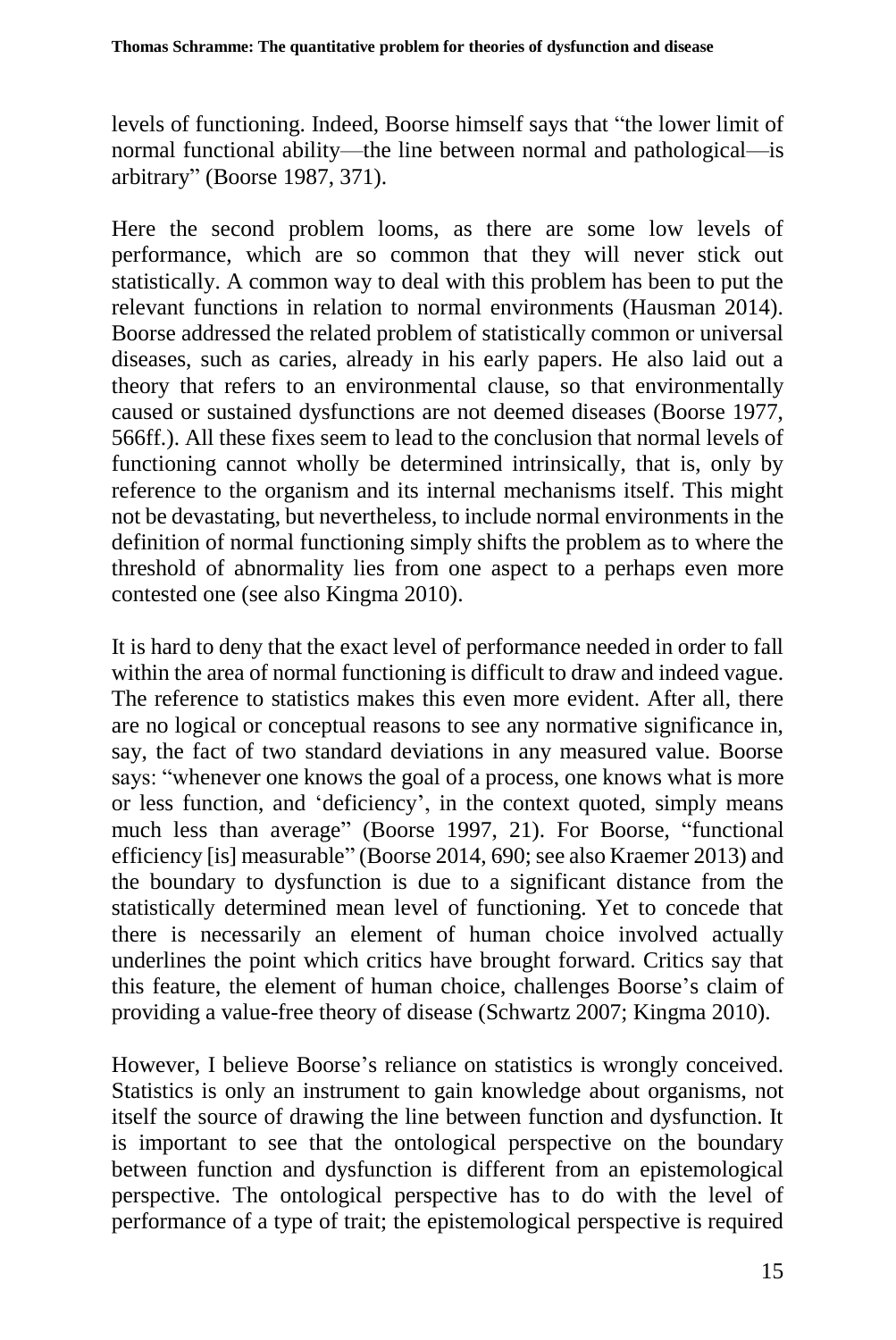levels of functioning. Indeed, Boorse himself says that "the lower limit of normal functional ability—the line between normal and pathological—is arbitrary" (Boorse 1987, 371).

Here the second problem looms, as there are some low levels of performance, which are so common that they will never stick out statistically. A common way to deal with this problem has been to put the relevant functions in relation to normal environments (Hausman 2014). Boorse addressed the related problem of statistically common or universal diseases, such as caries, already in his early papers. He also laid out a theory that refers to an environmental clause, so that environmentally caused or sustained dysfunctions are not deemed diseases (Boorse 1977, 566ff.). All these fixes seem to lead to the conclusion that normal levels of functioning cannot wholly be determined intrinsically, that is, only by reference to the organism and its internal mechanisms itself. This might not be devastating, but nevertheless, to include normal environments in the definition of normal functioning simply shifts the problem as to where the threshold of abnormality lies from one aspect to a perhaps even more contested one (see also Kingma 2010).

It is hard to deny that the exact level of performance needed in order to fall within the area of normal functioning is difficult to draw and indeed vague. The reference to statistics makes this even more evident. After all, there are no logical or conceptual reasons to see any normative significance in, say, the fact of two standard deviations in any measured value. Boorse says: "whenever one knows the goal of a process, one knows what is more or less function, and 'deficiency', in the context quoted, simply means much less than average" (Boorse 1997, 21). For Boorse, "functional efficiency [is] measurable" (Boorse 2014, 690; see also Kraemer 2013) and the boundary to dysfunction is due to a significant distance from the statistically determined mean level of functioning. Yet to concede that there is necessarily an element of human choice involved actually underlines the point which critics have brought forward. Critics say that this feature, the element of human choice, challenges Boorse's claim of providing a value-free theory of disease (Schwartz 2007; Kingma 2010).

However, I believe Boorse's reliance on statistics is wrongly conceived. Statistics is only an instrument to gain knowledge about organisms, not itself the source of drawing the line between function and dysfunction. It is important to see that the ontological perspective on the boundary between function and dysfunction is different from an epistemological perspective. The ontological perspective has to do with the level of performance of a type of trait; the epistemological perspective is required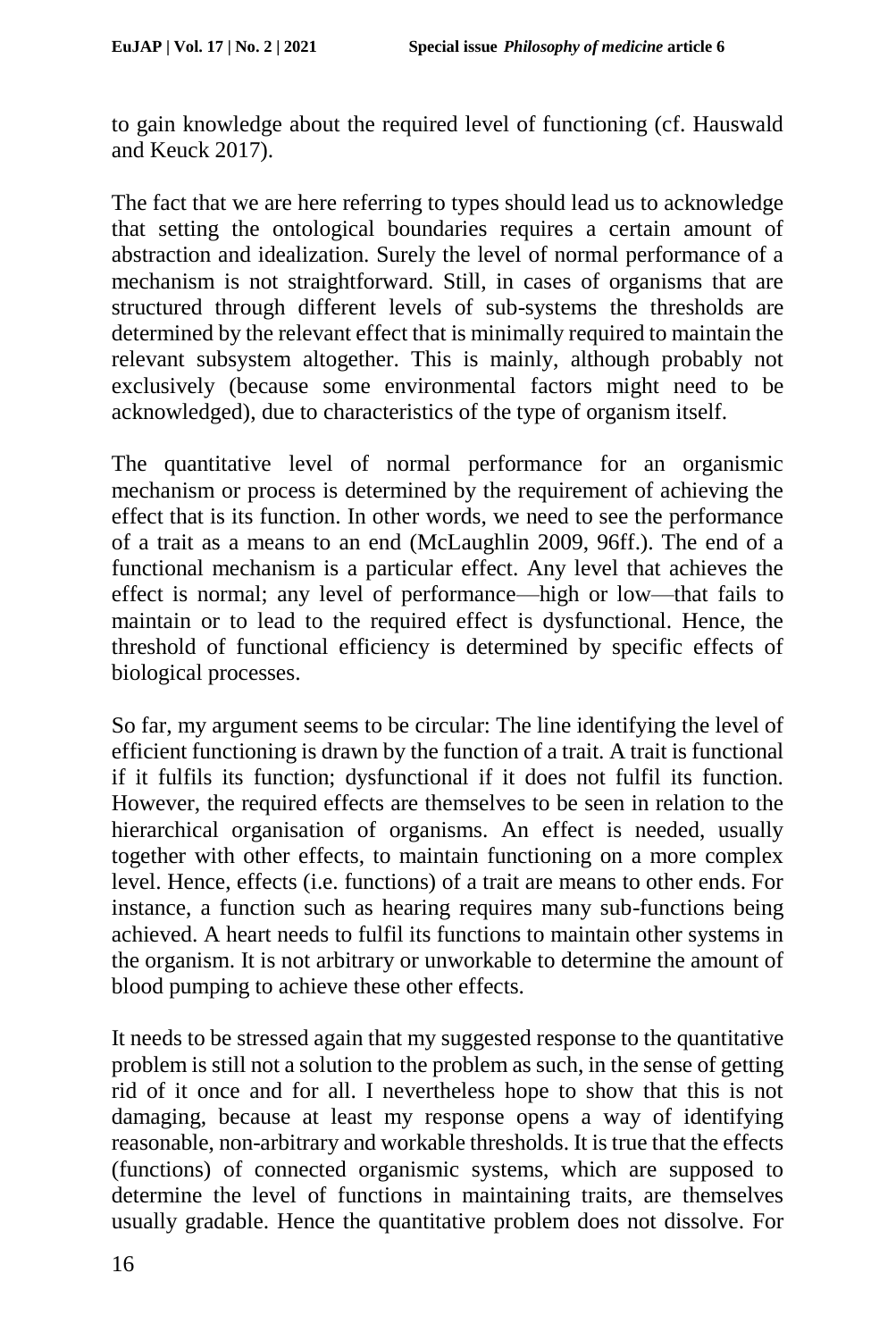to gain knowledge about the required level of functioning (cf. Hauswald and Keuck 2017).

The fact that we are here referring to types should lead us to acknowledge that setting the ontological boundaries requires a certain amount of abstraction and idealization. Surely the level of normal performance of a mechanism is not straightforward. Still, in cases of organisms that are structured through different levels of sub-systems the thresholds are determined by the relevant effect that is minimally required to maintain the relevant subsystem altogether. This is mainly, although probably not exclusively (because some environmental factors might need to be acknowledged), due to characteristics of the type of organism itself.

The quantitative level of normal performance for an organismic mechanism or process is determined by the requirement of achieving the effect that is its function. In other words, we need to see the performance of a trait as a means to an end (McLaughlin 2009, 96ff.). The end of a functional mechanism is a particular effect. Any level that achieves the effect is normal; any level of performance—high or low—that fails to maintain or to lead to the required effect is dysfunctional. Hence, the threshold of functional efficiency is determined by specific effects of biological processes.

So far, my argument seems to be circular: The line identifying the level of efficient functioning is drawn by the function of a trait. A trait is functional if it fulfils its function; dysfunctional if it does not fulfil its function. However, the required effects are themselves to be seen in relation to the hierarchical organisation of organisms. An effect is needed, usually together with other effects, to maintain functioning on a more complex level. Hence, effects (i.e. functions) of a trait are means to other ends. For instance, a function such as hearing requires many sub-functions being achieved. A heart needs to fulfil its functions to maintain other systems in the organism. It is not arbitrary or unworkable to determine the amount of blood pumping to achieve these other effects.

It needs to be stressed again that my suggested response to the quantitative problem is still not a solution to the problem as such, in the sense of getting rid of it once and for all. I nevertheless hope to show that this is not damaging, because at least my response opens a way of identifying reasonable, non-arbitrary and workable thresholds. It is true that the effects (functions) of connected organismic systems, which are supposed to determine the level of functions in maintaining traits, are themselves usually gradable. Hence the quantitative problem does not dissolve. For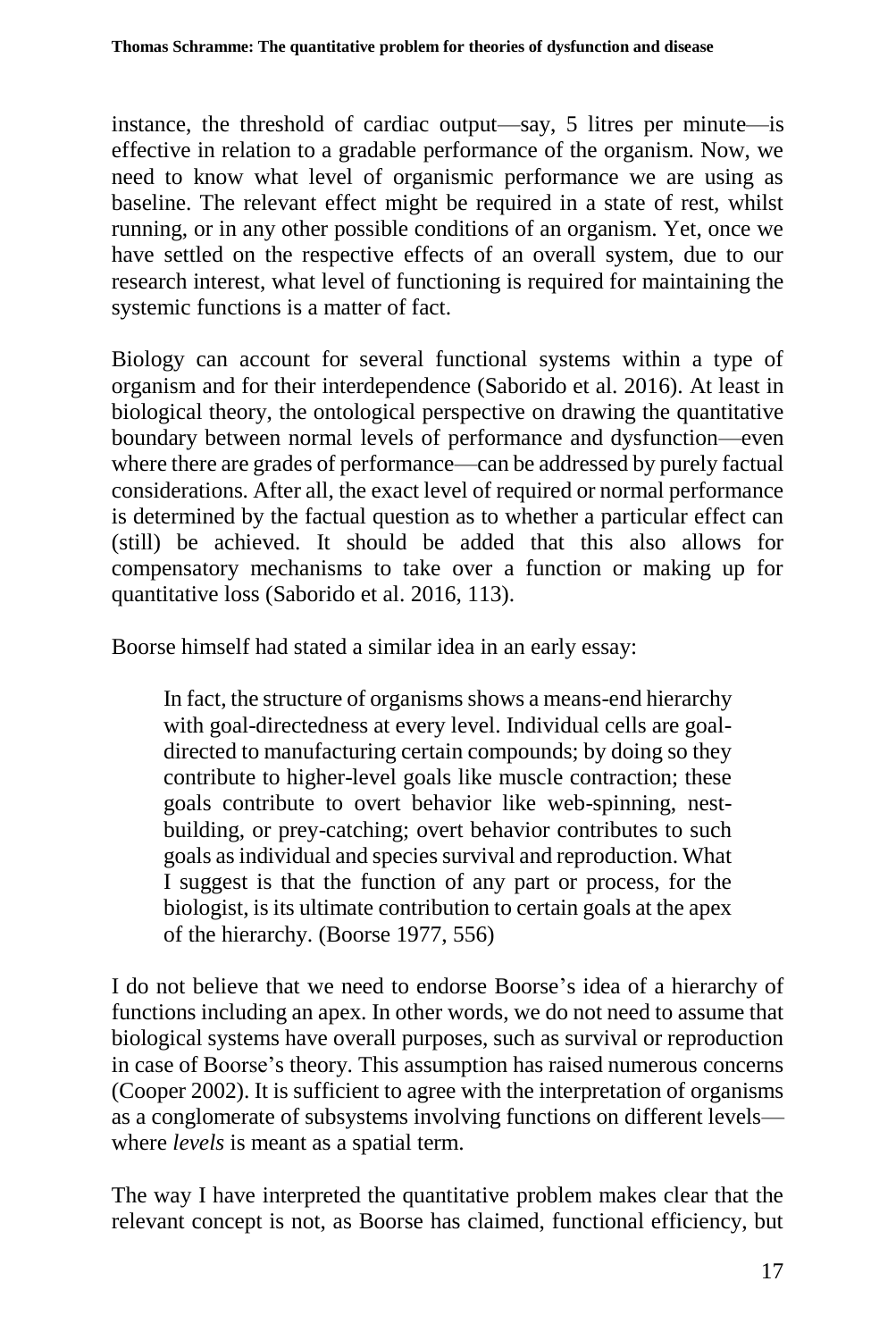instance, the threshold of cardiac output—say, 5 litres per minute—is effective in relation to a gradable performance of the organism. Now, we need to know what level of organismic performance we are using as baseline. The relevant effect might be required in a state of rest, whilst running, or in any other possible conditions of an organism. Yet, once we have settled on the respective effects of an overall system, due to our research interest, what level of functioning is required for maintaining the systemic functions is a matter of fact.

Biology can account for several functional systems within a type of organism and for their interdependence (Saborido et al. 2016). At least in biological theory, the ontological perspective on drawing the quantitative boundary between normal levels of performance and dysfunction—even where there are grades of performance—can be addressed by purely factual considerations. After all, the exact level of required or normal performance is determined by the factual question as to whether a particular effect can (still) be achieved. It should be added that this also allows for compensatory mechanisms to take over a function or making up for quantitative loss (Saborido et al. 2016, 113).

Boorse himself had stated a similar idea in an early essay:

In fact, the structure of organisms shows a means-end hierarchy with goal-directedness at every level. Individual cells are goaldirected to manufacturing certain compounds; by doing so they contribute to higher-level goals like muscle contraction; these goals contribute to overt behavior like web-spinning, nestbuilding, or prey-catching; overt behavior contributes to such goals as individual and species survival and reproduction. What I suggest is that the function of any part or process, for the biologist, is its ultimate contribution to certain goals at the apex of the hierarchy. (Boorse 1977, 556)

I do not believe that we need to endorse Boorse's idea of a hierarchy of functions including an apex. In other words, we do not need to assume that biological systems have overall purposes, such as survival or reproduction in case of Boorse's theory. This assumption has raised numerous concerns (Cooper 2002). It is sufficient to agree with the interpretation of organisms as a conglomerate of subsystems involving functions on different levels where *levels* is meant as a spatial term.

The way I have interpreted the quantitative problem makes clear that the relevant concept is not, as Boorse has claimed, functional efficiency, but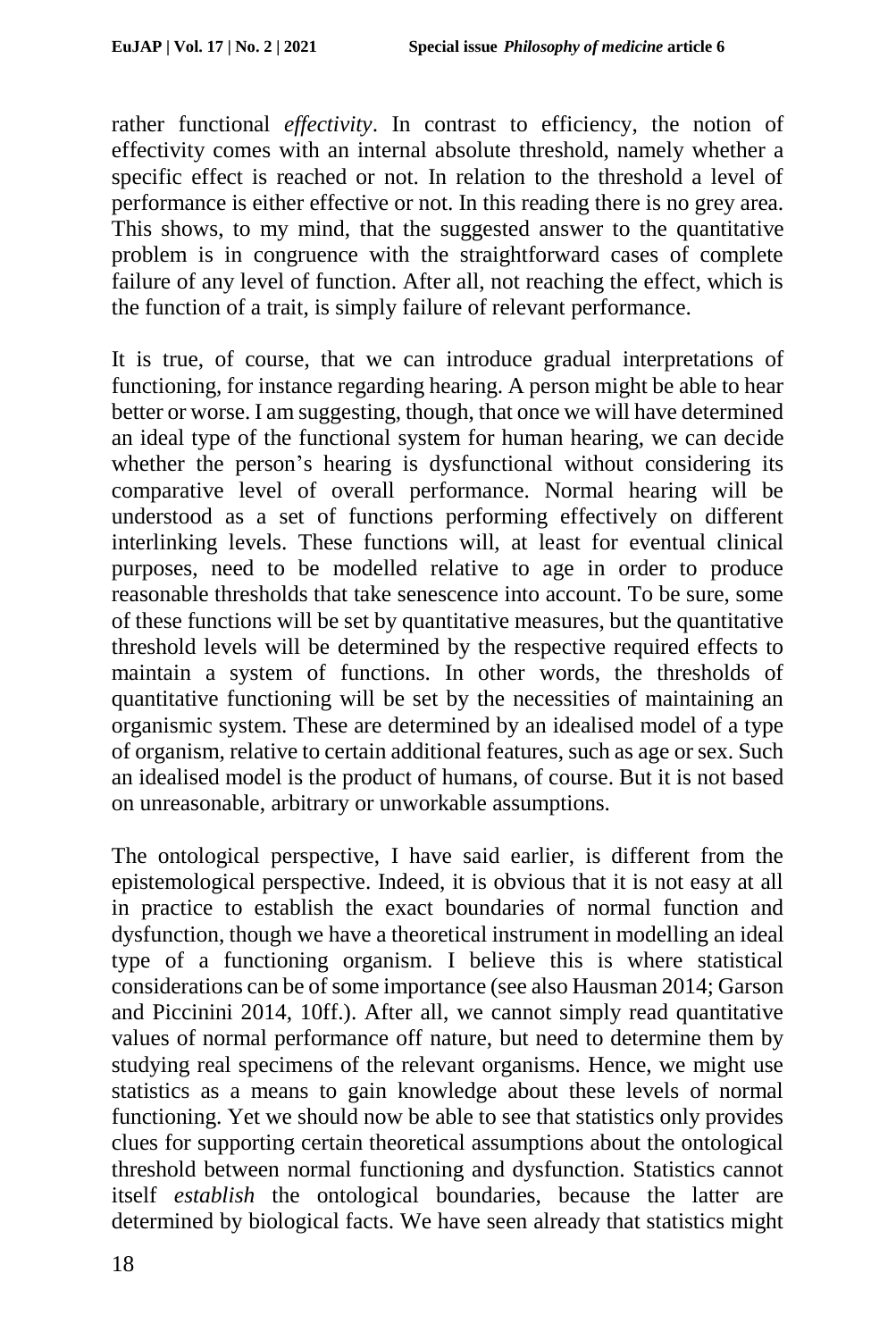rather functional *effectivity*. In contrast to efficiency, the notion of effectivity comes with an internal absolute threshold, namely whether a specific effect is reached or not. In relation to the threshold a level of performance is either effective or not. In this reading there is no grey area. This shows, to my mind, that the suggested answer to the quantitative problem is in congruence with the straightforward cases of complete failure of any level of function. After all, not reaching the effect, which is the function of a trait, is simply failure of relevant performance.

It is true, of course, that we can introduce gradual interpretations of functioning, for instance regarding hearing. A person might be able to hear better or worse. I am suggesting, though, that once we will have determined an ideal type of the functional system for human hearing, we can decide whether the person's hearing is dysfunctional without considering its comparative level of overall performance. Normal hearing will be understood as a set of functions performing effectively on different interlinking levels. These functions will, at least for eventual clinical purposes, need to be modelled relative to age in order to produce reasonable thresholds that take senescence into account. To be sure, some of these functions will be set by quantitative measures, but the quantitative threshold levels will be determined by the respective required effects to maintain a system of functions. In other words, the thresholds of quantitative functioning will be set by the necessities of maintaining an organismic system. These are determined by an idealised model of a type of organism, relative to certain additional features, such as age or sex. Such an idealised model is the product of humans, of course. But it is not based on unreasonable, arbitrary or unworkable assumptions.

The ontological perspective, I have said earlier, is different from the epistemological perspective. Indeed, it is obvious that it is not easy at all in practice to establish the exact boundaries of normal function and dysfunction, though we have a theoretical instrument in modelling an ideal type of a functioning organism. I believe this is where statistical considerations can be of some importance (see also Hausman 2014; Garson and Piccinini 2014, 10ff.). After all, we cannot simply read quantitative values of normal performance off nature, but need to determine them by studying real specimens of the relevant organisms. Hence, we might use statistics as a means to gain knowledge about these levels of normal functioning. Yet we should now be able to see that statistics only provides clues for supporting certain theoretical assumptions about the ontological threshold between normal functioning and dysfunction. Statistics cannot itself *establish* the ontological boundaries, because the latter are determined by biological facts. We have seen already that statistics might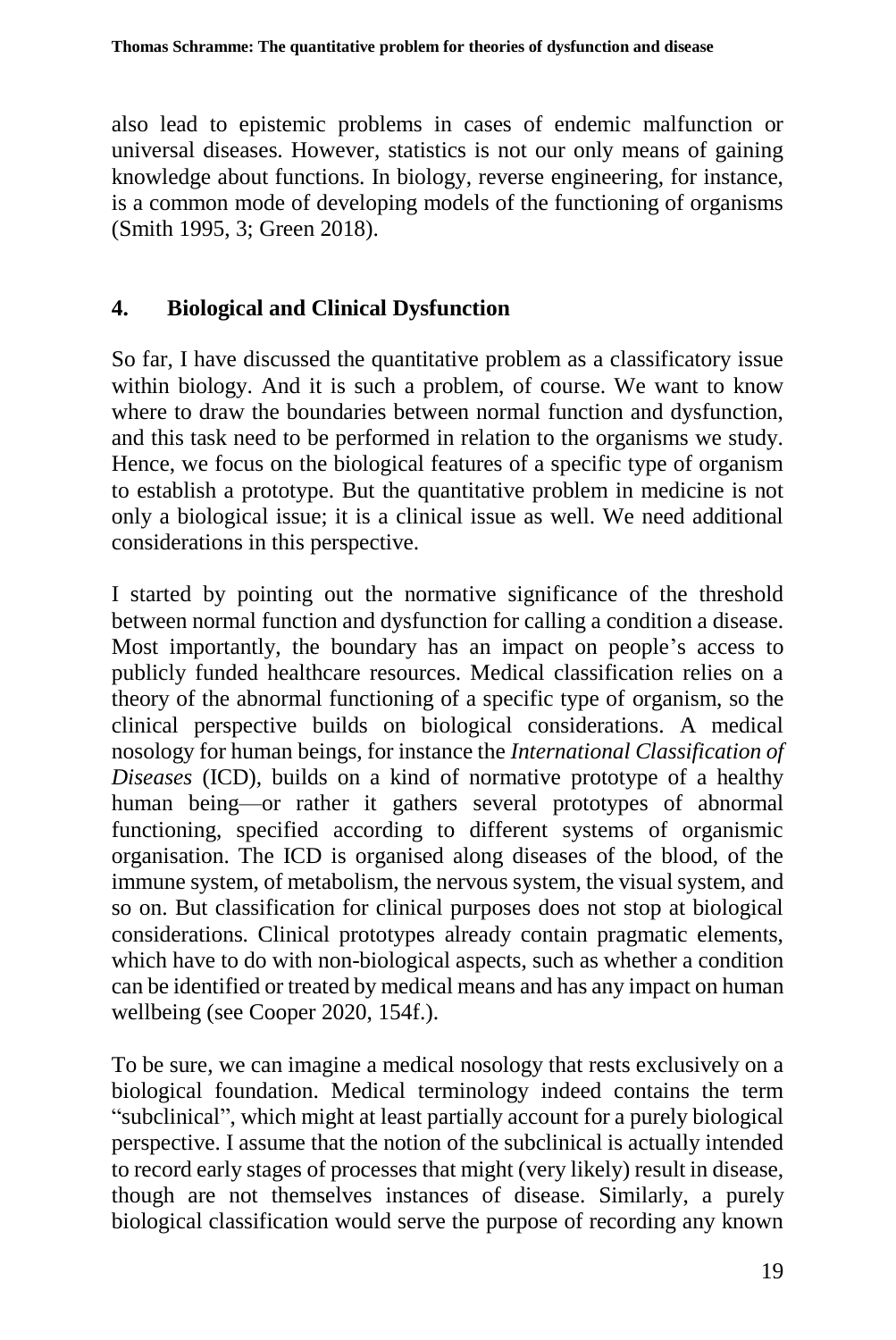also lead to epistemic problems in cases of endemic malfunction or universal diseases. However, statistics is not our only means of gaining knowledge about functions. In biology, reverse engineering, for instance, is a common mode of developing models of the functioning of organisms (Smith 1995, 3; Green 2018).

### **4. Biological and Clinical Dysfunction**

So far, I have discussed the quantitative problem as a classificatory issue within biology. And it is such a problem, of course. We want to know where to draw the boundaries between normal function and dysfunction, and this task need to be performed in relation to the organisms we study. Hence, we focus on the biological features of a specific type of organism to establish a prototype. But the quantitative problem in medicine is not only a biological issue; it is a clinical issue as well. We need additional considerations in this perspective.

I started by pointing out the normative significance of the threshold between normal function and dysfunction for calling a condition a disease. Most importantly, the boundary has an impact on people's access to publicly funded healthcare resources. Medical classification relies on a theory of the abnormal functioning of a specific type of organism, so the clinical perspective builds on biological considerations. A medical nosology for human beings, for instance the *International Classification of Diseases* (ICD), builds on a kind of normative prototype of a healthy human being—or rather it gathers several prototypes of abnormal functioning, specified according to different systems of organismic organisation. The ICD is organised along diseases of the blood, of the immune system, of metabolism, the nervous system, the visual system, and so on. But classification for clinical purposes does not stop at biological considerations. Clinical prototypes already contain pragmatic elements, which have to do with non-biological aspects, such as whether a condition can be identified or treated by medical means and has any impact on human wellbeing (see Cooper 2020, 154f.).

To be sure, we can imagine a medical nosology that rests exclusively on a biological foundation. Medical terminology indeed contains the term "subclinical", which might at least partially account for a purely biological perspective. I assume that the notion of the subclinical is actually intended to record early stages of processes that might (very likely) result in disease, though are not themselves instances of disease. Similarly, a purely biological classification would serve the purpose of recording any known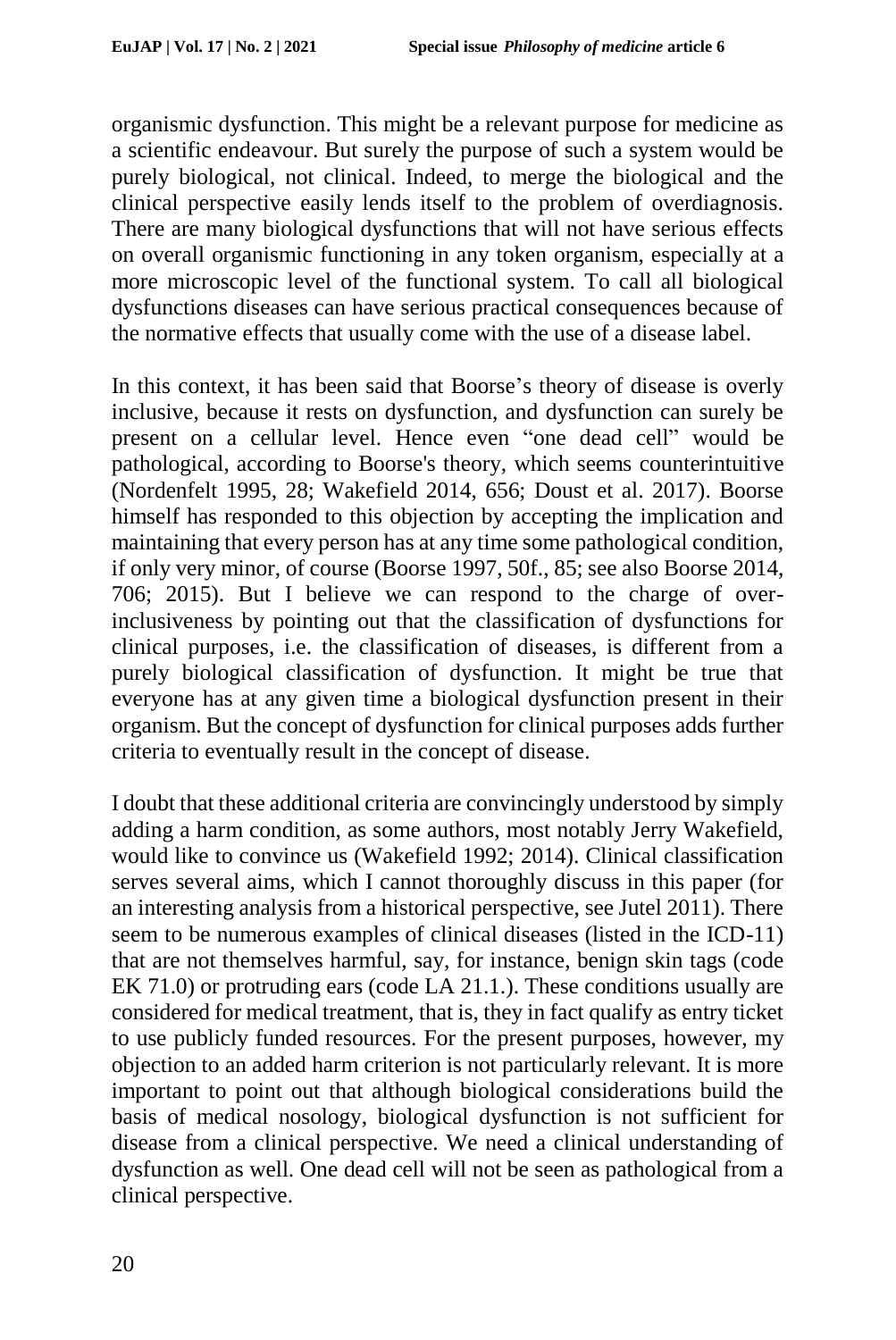organismic dysfunction. This might be a relevant purpose for medicine as a scientific endeavour. But surely the purpose of such a system would be purely biological, not clinical. Indeed, to merge the biological and the clinical perspective easily lends itself to the problem of overdiagnosis. There are many biological dysfunctions that will not have serious effects on overall organismic functioning in any token organism, especially at a more microscopic level of the functional system. To call all biological dysfunctions diseases can have serious practical consequences because of the normative effects that usually come with the use of a disease label.

In this context, it has been said that Boorse's theory of disease is overly inclusive, because it rests on dysfunction, and dysfunction can surely be present on a cellular level. Hence even "one dead cell" would be pathological, according to Boorse's theory, which seems counterintuitive (Nordenfelt 1995, 28; Wakefield 2014, 656; Doust et al. 2017). Boorse himself has responded to this objection by accepting the implication and maintaining that every person has at any time some pathological condition, if only very minor, of course (Boorse 1997, 50f., 85; see also Boorse 2014, 706; 2015). But I believe we can respond to the charge of overinclusiveness by pointing out that the classification of dysfunctions for clinical purposes, i.e. the classification of diseases, is different from a purely biological classification of dysfunction. It might be true that everyone has at any given time a biological dysfunction present in their organism. But the concept of dysfunction for clinical purposes adds further criteria to eventually result in the concept of disease.

I doubt that these additional criteria are convincingly understood by simply adding a harm condition, as some authors, most notably Jerry Wakefield, would like to convince us (Wakefield 1992; 2014). Clinical classification serves several aims, which I cannot thoroughly discuss in this paper (for an interesting analysis from a historical perspective, see Jutel 2011). There seem to be numerous examples of clinical diseases (listed in the ICD-11) that are not themselves harmful, say, for instance, benign skin tags (code EK 71.0) or protruding ears (code LA 21.1.). These conditions usually are considered for medical treatment, that is, they in fact qualify as entry ticket to use publicly funded resources. For the present purposes, however, my objection to an added harm criterion is not particularly relevant. It is more important to point out that although biological considerations build the basis of medical nosology, biological dysfunction is not sufficient for disease from a clinical perspective. We need a clinical understanding of dysfunction as well. One dead cell will not be seen as pathological from a clinical perspective.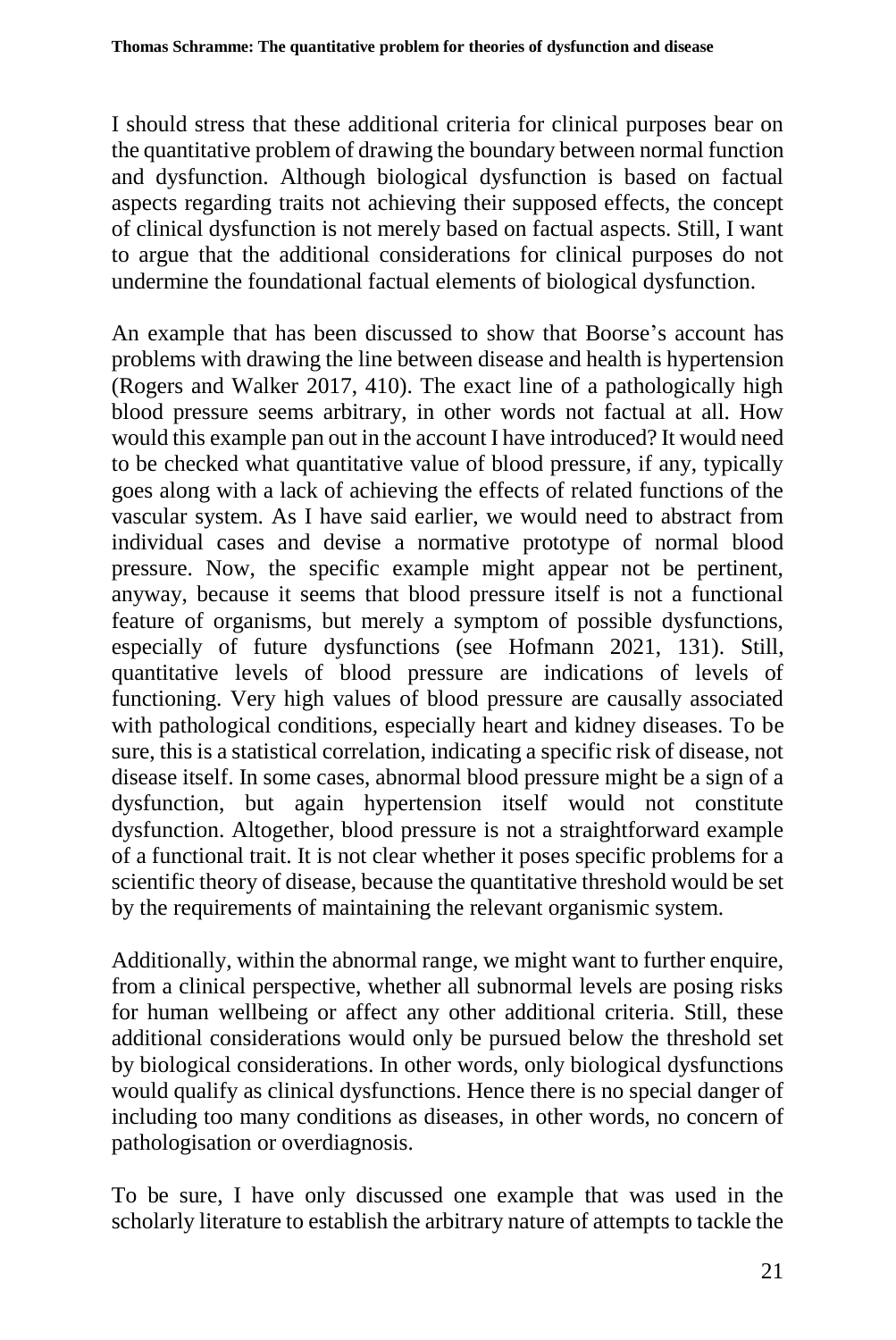I should stress that these additional criteria for clinical purposes bear on the quantitative problem of drawing the boundary between normal function and dysfunction. Although biological dysfunction is based on factual aspects regarding traits not achieving their supposed effects, the concept of clinical dysfunction is not merely based on factual aspects. Still, I want to argue that the additional considerations for clinical purposes do not undermine the foundational factual elements of biological dysfunction.

An example that has been discussed to show that Boorse's account has problems with drawing the line between disease and health is hypertension (Rogers and Walker 2017, 410). The exact line of a pathologically high blood pressure seems arbitrary, in other words not factual at all. How would this example pan out in the account I have introduced? It would need to be checked what quantitative value of blood pressure, if any, typically goes along with a lack of achieving the effects of related functions of the vascular system. As I have said earlier, we would need to abstract from individual cases and devise a normative prototype of normal blood pressure. Now, the specific example might appear not be pertinent, anyway, because it seems that blood pressure itself is not a functional feature of organisms, but merely a symptom of possible dysfunctions, especially of future dysfunctions (see Hofmann 2021, 131). Still, quantitative levels of blood pressure are indications of levels of functioning. Very high values of blood pressure are causally associated with pathological conditions, especially heart and kidney diseases. To be sure, this is a statistical correlation, indicating a specific risk of disease, not disease itself. In some cases, abnormal blood pressure might be a sign of a dysfunction, but again hypertension itself would not constitute dysfunction. Altogether, blood pressure is not a straightforward example of a functional trait. It is not clear whether it poses specific problems for a scientific theory of disease, because the quantitative threshold would be set by the requirements of maintaining the relevant organismic system.

Additionally, within the abnormal range, we might want to further enquire, from a clinical perspective, whether all subnormal levels are posing risks for human wellbeing or affect any other additional criteria. Still, these additional considerations would only be pursued below the threshold set by biological considerations. In other words, only biological dysfunctions would qualify as clinical dysfunctions. Hence there is no special danger of including too many conditions as diseases, in other words, no concern of pathologisation or overdiagnosis.

To be sure, I have only discussed one example that was used in the scholarly literature to establish the arbitrary nature of attempts to tackle the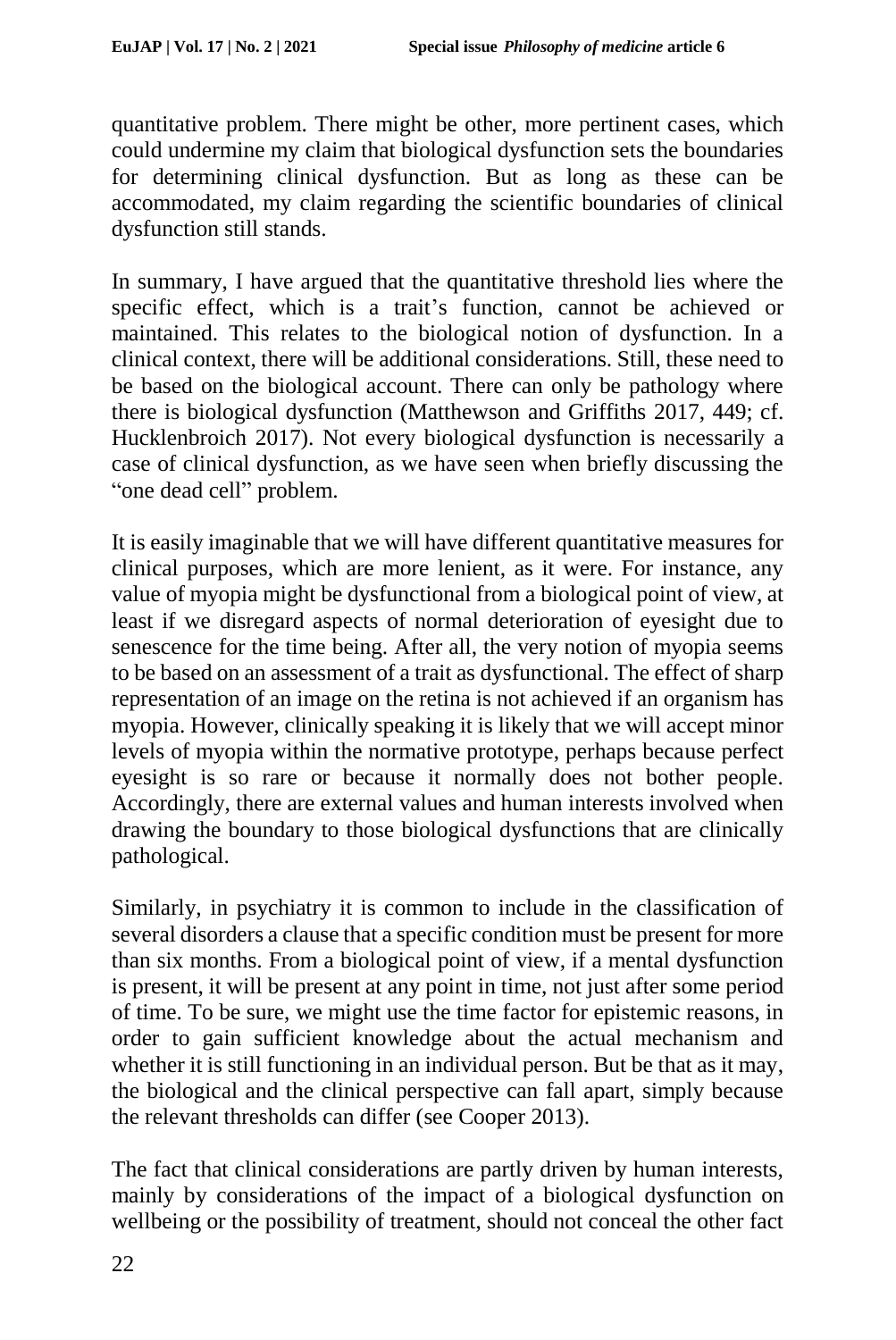quantitative problem. There might be other, more pertinent cases, which could undermine my claim that biological dysfunction sets the boundaries for determining clinical dysfunction. But as long as these can be accommodated, my claim regarding the scientific boundaries of clinical dysfunction still stands.

In summary, I have argued that the quantitative threshold lies where the specific effect, which is a trait's function, cannot be achieved or maintained. This relates to the biological notion of dysfunction. In a clinical context, there will be additional considerations. Still, these need to be based on the biological account. There can only be pathology where there is biological dysfunction (Matthewson and Griffiths 2017, 449; cf. Hucklenbroich 2017). Not every biological dysfunction is necessarily a case of clinical dysfunction, as we have seen when briefly discussing the "one dead cell" problem.

It is easily imaginable that we will have different quantitative measures for clinical purposes, which are more lenient, as it were. For instance, any value of myopia might be dysfunctional from a biological point of view, at least if we disregard aspects of normal deterioration of eyesight due to senescence for the time being. After all, the very notion of myopia seems to be based on an assessment of a trait as dysfunctional. The effect of sharp representation of an image on the retina is not achieved if an organism has myopia. However, clinically speaking it is likely that we will accept minor levels of myopia within the normative prototype, perhaps because perfect eyesight is so rare or because it normally does not bother people. Accordingly, there are external values and human interests involved when drawing the boundary to those biological dysfunctions that are clinically pathological.

Similarly, in psychiatry it is common to include in the classification of several disorders a clause that a specific condition must be present for more than six months. From a biological point of view, if a mental dysfunction is present, it will be present at any point in time, not just after some period of time. To be sure, we might use the time factor for epistemic reasons, in order to gain sufficient knowledge about the actual mechanism and whether it is still functioning in an individual person. But be that as it may, the biological and the clinical perspective can fall apart, simply because the relevant thresholds can differ (see Cooper 2013).

The fact that clinical considerations are partly driven by human interests, mainly by considerations of the impact of a biological dysfunction on wellbeing or the possibility of treatment, should not conceal the other fact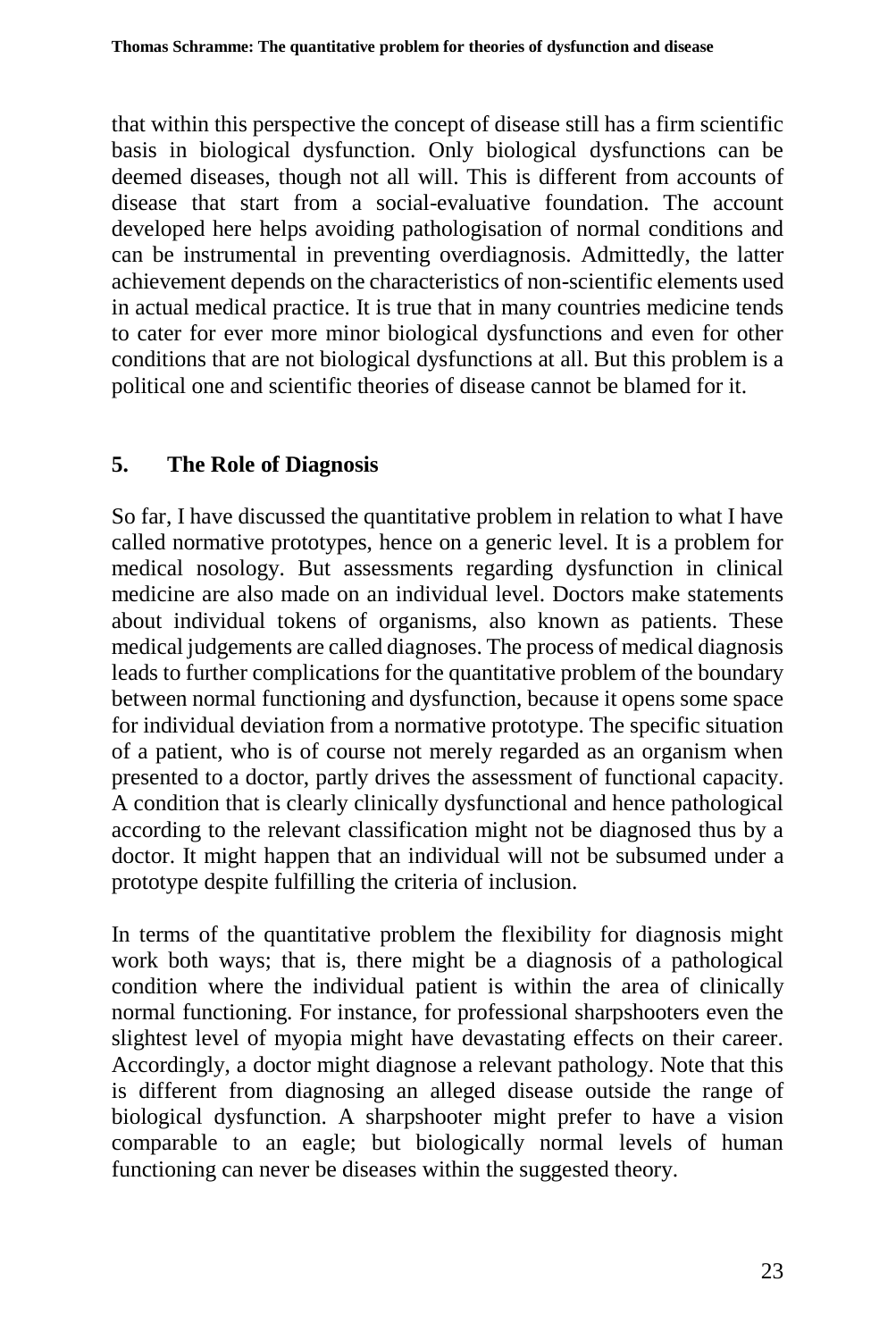that within this perspective the concept of disease still has a firm scientific basis in biological dysfunction. Only biological dysfunctions can be deemed diseases, though not all will. This is different from accounts of disease that start from a social-evaluative foundation. The account developed here helps avoiding pathologisation of normal conditions and can be instrumental in preventing overdiagnosis. Admittedly, the latter achievement depends on the characteristics of non-scientific elements used in actual medical practice. It is true that in many countries medicine tends to cater for ever more minor biological dysfunctions and even for other conditions that are not biological dysfunctions at all. But this problem is a political one and scientific theories of disease cannot be blamed for it.

# **5. The Role of Diagnosis**

So far, I have discussed the quantitative problem in relation to what I have called normative prototypes, hence on a generic level. It is a problem for medical nosology. But assessments regarding dysfunction in clinical medicine are also made on an individual level. Doctors make statements about individual tokens of organisms, also known as patients. These medical judgements are called diagnoses. The process of medical diagnosis leads to further complications for the quantitative problem of the boundary between normal functioning and dysfunction, because it opens some space for individual deviation from a normative prototype. The specific situation of a patient, who is of course not merely regarded as an organism when presented to a doctor, partly drives the assessment of functional capacity. A condition that is clearly clinically dysfunctional and hence pathological according to the relevant classification might not be diagnosed thus by a doctor. It might happen that an individual will not be subsumed under a prototype despite fulfilling the criteria of inclusion.

In terms of the quantitative problem the flexibility for diagnosis might work both ways; that is, there might be a diagnosis of a pathological condition where the individual patient is within the area of clinically normal functioning. For instance, for professional sharpshooters even the slightest level of myopia might have devastating effects on their career. Accordingly, a doctor might diagnose a relevant pathology. Note that this is different from diagnosing an alleged disease outside the range of biological dysfunction. A sharpshooter might prefer to have a vision comparable to an eagle; but biologically normal levels of human functioning can never be diseases within the suggested theory.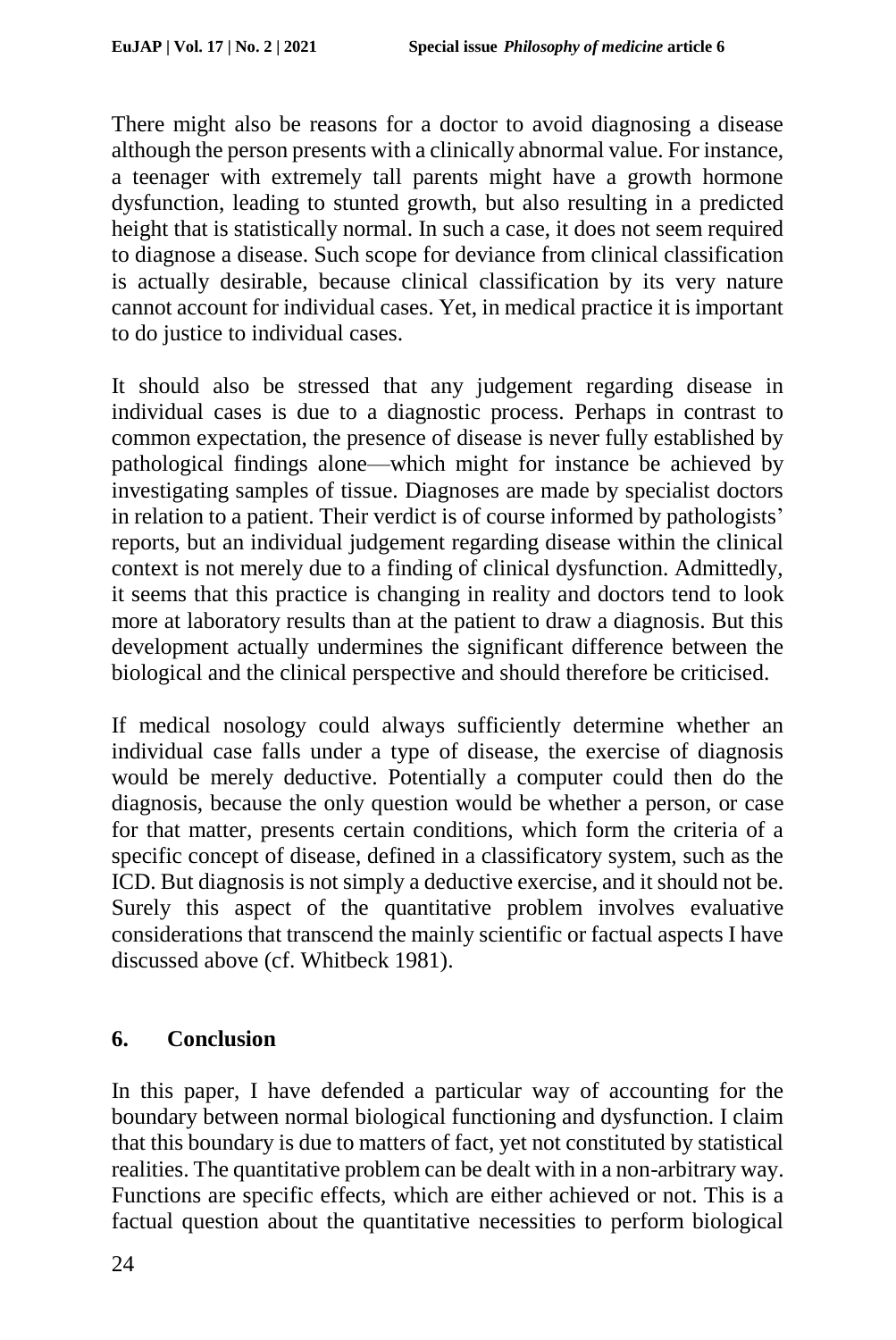There might also be reasons for a doctor to avoid diagnosing a disease although the person presents with a clinically abnormal value. For instance, a teenager with extremely tall parents might have a growth hormone dysfunction, leading to stunted growth, but also resulting in a predicted height that is statistically normal. In such a case, it does not seem required to diagnose a disease. Such scope for deviance from clinical classification is actually desirable, because clinical classification by its very nature cannot account for individual cases. Yet, in medical practice it is important to do justice to individual cases.

It should also be stressed that any judgement regarding disease in individual cases is due to a diagnostic process. Perhaps in contrast to common expectation, the presence of disease is never fully established by pathological findings alone—which might for instance be achieved by investigating samples of tissue. Diagnoses are made by specialist doctors in relation to a patient. Their verdict is of course informed by pathologists' reports, but an individual judgement regarding disease within the clinical context is not merely due to a finding of clinical dysfunction. Admittedly, it seems that this practice is changing in reality and doctors tend to look more at laboratory results than at the patient to draw a diagnosis. But this development actually undermines the significant difference between the biological and the clinical perspective and should therefore be criticised.

If medical nosology could always sufficiently determine whether an individual case falls under a type of disease, the exercise of diagnosis would be merely deductive. Potentially a computer could then do the diagnosis, because the only question would be whether a person, or case for that matter, presents certain conditions, which form the criteria of a specific concept of disease, defined in a classificatory system, such as the ICD. But diagnosis is not simply a deductive exercise, and it should not be. Surely this aspect of the quantitative problem involves evaluative considerations that transcend the mainly scientific or factual aspects I have discussed above (cf. Whitbeck 1981).

### **6. Conclusion**

In this paper, I have defended a particular way of accounting for the boundary between normal biological functioning and dysfunction. I claim that this boundary is due to matters of fact, yet not constituted by statistical realities. The quantitative problem can be dealt with in a non-arbitrary way. Functions are specific effects, which are either achieved or not. This is a factual question about the quantitative necessities to perform biological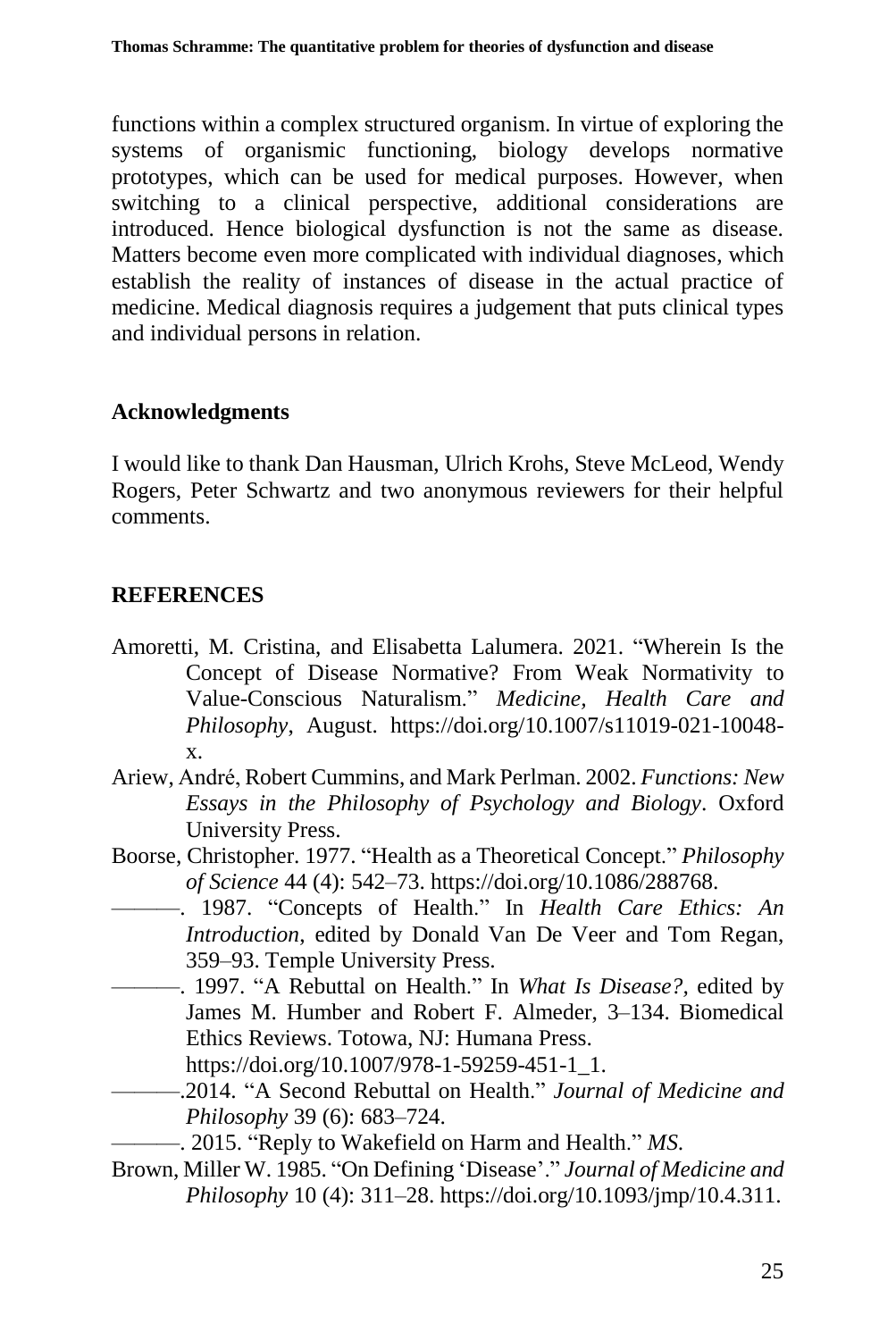functions within a complex structured organism. In virtue of exploring the systems of organismic functioning, biology develops normative prototypes, which can be used for medical purposes. However, when switching to a clinical perspective, additional considerations are introduced. Hence biological dysfunction is not the same as disease. Matters become even more complicated with individual diagnoses, which establish the reality of instances of disease in the actual practice of medicine. Medical diagnosis requires a judgement that puts clinical types and individual persons in relation.

### **Acknowledgments**

I would like to thank Dan Hausman, Ulrich Krohs, Steve McLeod, Wendy Rogers, Peter Schwartz and two anonymous reviewers for their helpful comments.

### **REFERENCES**

- Amoretti, M. Cristina, and Elisabetta Lalumera. 2021. "Wherein Is the Concept of Disease Normative? From Weak Normativity to Value-Conscious Naturalism." *Medicine, Health Care and Philosophy*, August. https://doi.org/10.1007/s11019-021-10048 x.
- Ariew, André, Robert Cummins, and Mark Perlman. 2002. *Functions: New Essays in the Philosophy of Psychology and Biology*. Oxford University Press.
- Boorse, Christopher. 1977. "Health as a Theoretical Concept." *Philosophy of Science* 44 (4): 542–73. https://doi.org/10.1086/288768.
	- ———. 1987. "Concepts of Health." In *Health Care Ethics: An Introduction*, edited by Donald Van De Veer and Tom Regan, 359–93. Temple University Press.
- ———. 1997. "A Rebuttal on Health." In *What Is Disease?,* edited by James M. Humber and Robert F. Almeder, 3–134. Biomedical Ethics Reviews. Totowa, NJ: Humana Press. https://doi.org/10.1007/978-1-59259-451-1\_1.
- ———.2014. "A Second Rebuttal on Health." *Journal of Medicine and Philosophy* 39 (6): 683–724.
	- ———. 2015. "Reply to Wakefield on Harm and Health." *MS*.
- Brown, Miller W. 1985. "On Defining 'Disease'." *Journal of Medicine and Philosophy* 10 (4): 311–28. https://doi.org/10.1093/jmp/10.4.311.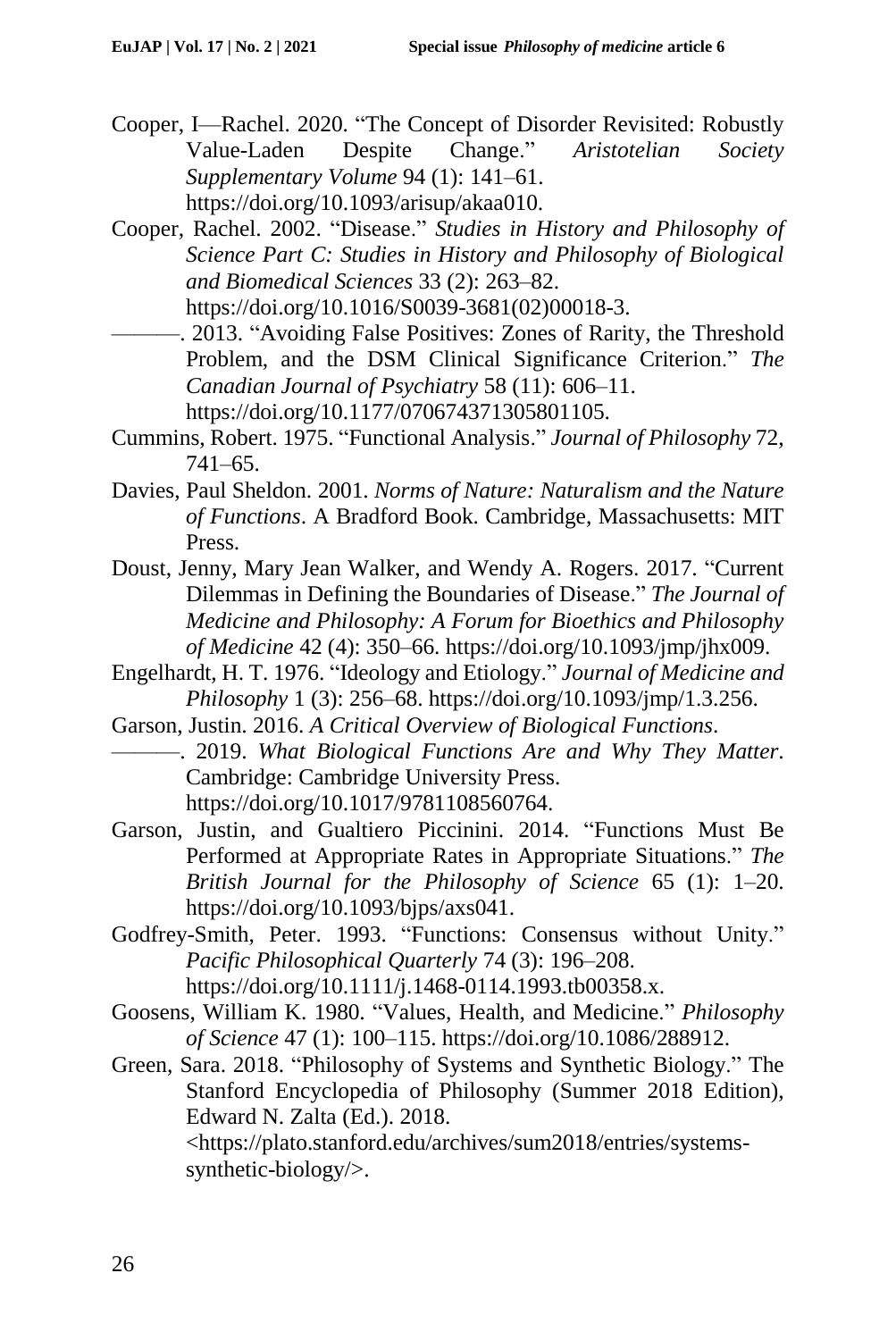- Cooper, I—Rachel. 2020. "The Concept of Disorder Revisited: Robustly<br>Value-Laden Despite Change." Aristotelian Society Value-Laden Despite Change." *Aristotelian Society Supplementary Volume* 94 (1): 141–61. https://doi.org/10.1093/arisup/akaa010.
- Cooper, Rachel. 2002. "Disease." *Studies in History and Philosophy of Science Part C: Studies in History and Philosophy of Biological and Biomedical Sciences* 33 (2): 263–82. https://doi.org/10.1016/S0039-3681(02)00018-3.
- -. 2013. "Avoiding False Positives: Zones of Rarity, the Threshold Problem, and the DSM Clinical Significance Criterion." *The Canadian Journal of Psychiatry* 58 (11): 606–11. https://doi.org/10.1177/070674371305801105.
- Cummins, Robert. 1975. "Functional Analysis." *Journal of Philosophy* 72, 741–65.
- Davies, Paul Sheldon. 2001. *Norms of Nature: Naturalism and the Nature of Functions*. A Bradford Book. Cambridge, Massachusetts: MIT Press.
- Doust, Jenny, Mary Jean Walker, and Wendy A. Rogers. 2017. "Current Dilemmas in Defining the Boundaries of Disease." *The Journal of Medicine and Philosophy: A Forum for Bioethics and Philosophy of Medicine* 42 (4): 350–66. https://doi.org/10.1093/jmp/jhx009.
- Engelhardt, H. T. 1976. "Ideology and Etiology." *Journal of Medicine and Philosophy* 1 (3): 256–68. https://doi.org/10.1093/jmp/1.3.256.
- Garson, Justin. 2016. *A Critical Overview of Biological Functions*. ———. 2019. *What Biological Functions Are and Why They Matter*. Cambridge: Cambridge University Press. https://doi.org/10.1017/9781108560764.
- Garson, Justin, and Gualtiero Piccinini. 2014. "Functions Must Be Performed at Appropriate Rates in Appropriate Situations." *The British Journal for the Philosophy of Science* 65 (1): 1–20. https://doi.org/10.1093/bjps/axs041.
- Godfrey-Smith, Peter. 1993. "Functions: Consensus without Unity." *Pacific Philosophical Quarterly* 74 (3): 196–208. https://doi.org/10.1111/j.1468-0114.1993.tb00358.x.
- Goosens, William K. 1980. "Values, Health, and Medicine." *Philosophy of Science* 47 (1): 100–115. https://doi.org/10.1086/288912.
- Green, Sara. 2018. "Philosophy of Systems and Synthetic Biology." The Stanford Encyclopedia of Philosophy (Summer 2018 Edition), Edward N. Zalta (Ed.). 2018. <https://plato.stanford.edu/archives/sum2018/entries/systemssynthetic-biology/>.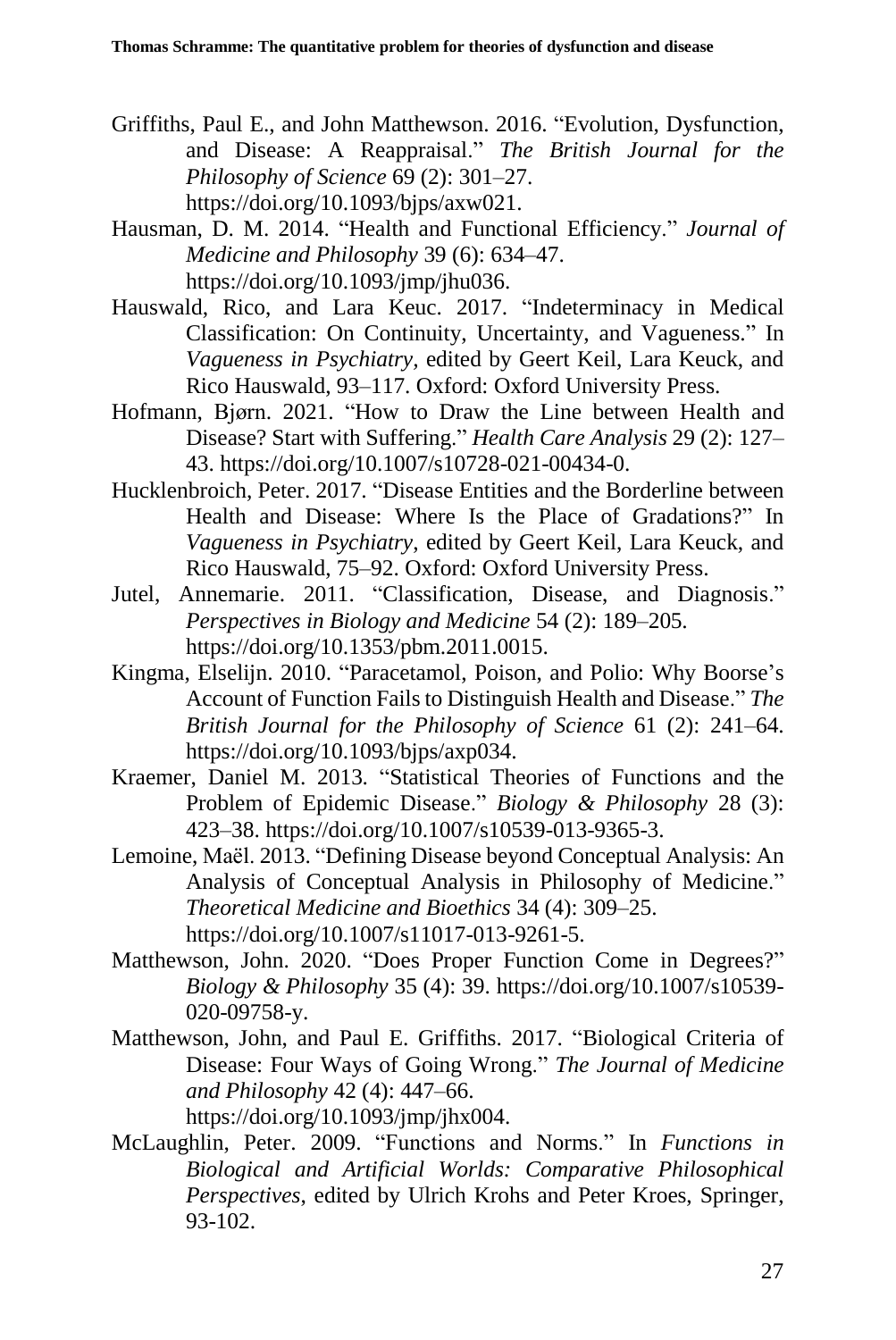- Griffiths, Paul E., and John Matthewson. 2016. "Evolution, Dysfunction, and Disease: A Reappraisal." *The British Journal for the Philosophy of Science* 69 (2): 301–27. https://doi.org/10.1093/bjps/axw021.
- Hausman, D. M. 2014. "Health and Functional Efficiency." *Journal of Medicine and Philosophy* 39 (6): 634–47. https://doi.org/10.1093/jmp/jhu036.
- Hauswald, Rico, and Lara Keuc. 2017. "Indeterminacy in Medical Classification: On Continuity, Uncertainty, and Vagueness." In *Vagueness in Psychiatry,* edited by Geert Keil, Lara Keuck, and Rico Hauswald, 93–117. Oxford: Oxford University Press.
- Hofmann, Bjørn. 2021. "How to Draw the Line between Health and Disease? Start with Suffering." *Health Care Analysis* 29 (2): 127– 43. https://doi.org/10.1007/s10728-021-00434-0.
- Hucklenbroich, Peter. 2017. "Disease Entities and the Borderline between Health and Disease: Where Is the Place of Gradations?" In *Vagueness in Psychiatry*, edited by Geert Keil, Lara Keuck, and Rico Hauswald, 75–92. Oxford: Oxford University Press.
- Jutel, Annemarie. 2011. "Classification, Disease, and Diagnosis." *Perspectives in Biology and Medicine* 54 (2): 189–205. https://doi.org/10.1353/pbm.2011.0015.
- Kingma, Elselijn. 2010. "Paracetamol, Poison, and Polio: Why Boorse's Account of Function Failsto Distinguish Health and Disease." *The British Journal for the Philosophy of Science* 61 (2): 241–64. https://doi.org/10.1093/bjps/axp034.
- Kraemer, Daniel M. 2013. "Statistical Theories of Functions and the Problem of Epidemic Disease." *Biology & Philosophy* 28 (3): 423–38. https://doi.org/10.1007/s10539-013-9365-3.
- Lemoine, Maël. 2013. "Defining Disease beyond Conceptual Analysis: An Analysis of Conceptual Analysis in Philosophy of Medicine." *Theoretical Medicine and Bioethics* 34 (4): 309–25. https://doi.org/10.1007/s11017-013-9261-5.
- Matthewson, John. 2020. "Does Proper Function Come in Degrees?" *Biology & Philosophy* 35 (4): 39. https://doi.org/10.1007/s10539- 020-09758-y.
- Matthewson, John, and Paul E. Griffiths. 2017. "Biological Criteria of Disease: Four Ways of Going Wrong." *The Journal of Medicine and Philosophy* 42 (4): 447–66. https://doi.org/10.1093/jmp/jhx004.
- McLaughlin, Peter. 2009. "Functions and Norms." In *Functions in Biological and Artificial Worlds: Comparative Philosophical Perspectives*, edited by Ulrich Krohs and Peter Kroes, Springer, 93-102.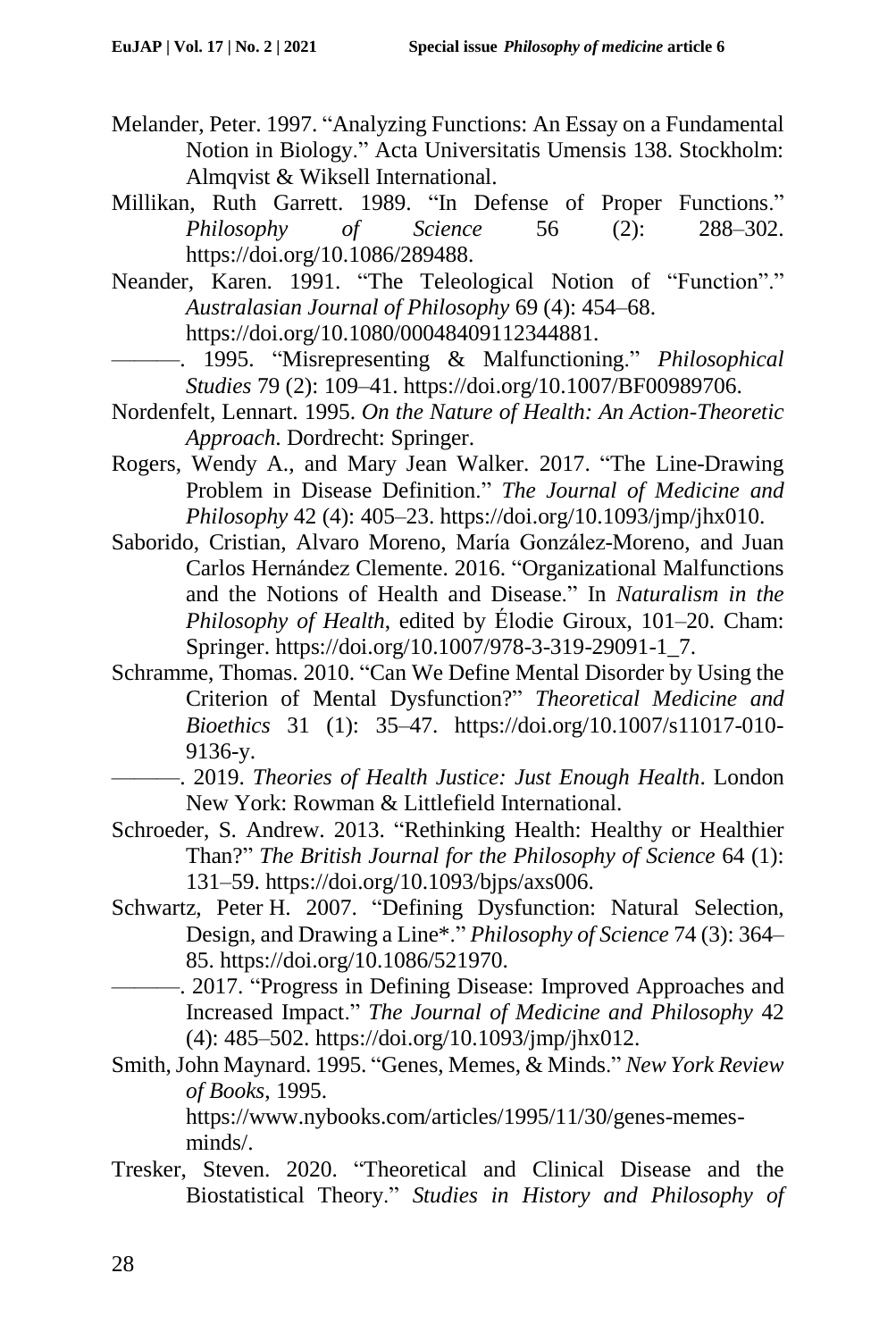- Melander, Peter. 1997. "Analyzing Functions: An Essay on a Fundamental Notion in Biology." Acta Universitatis Umensis 138. Stockholm: Almqvist & Wiksell International.
- Millikan, Ruth Garrett. 1989. "In Defense of Proper Functions." *Philosophy of Science* 56 (2): 288–302. https://doi.org/10.1086/289488.
- Neander, Karen. 1991. "The Teleological Notion of "Function"." *Australasian Journal of Philosophy* 69 (4): 454–68. https://doi.org/10.1080/00048409112344881.
	- ———. 1995. "Misrepresenting & Malfunctioning." *Philosophical Studies* 79 (2): 109–41. https://doi.org/10.1007/BF00989706.
- Nordenfelt, Lennart. 1995. *On the Nature of Health: An Action-Theoretic Approach*. Dordrecht: Springer.
- Rogers, Wendy A., and Mary Jean Walker. 2017. "The Line-Drawing Problem in Disease Definition." *The Journal of Medicine and Philosophy* 42 (4): 405–23. https://doi.org/10.1093/jmp/jhx010.
- Saborido, Cristian, Alvaro Moreno, María González-Moreno, and Juan Carlos Hernández Clemente. 2016. "Organizational Malfunctions and the Notions of Health and Disease." In *Naturalism in the Philosophy of Health*, edited by Élodie Giroux, 101–20. Cham: Springer. https://doi.org/10.1007/978-3-319-29091-1\_7.
- Schramme, Thomas. 2010. "Can We Define Mental Disorder by Using the Criterion of Mental Dysfunction?" *Theoretical Medicine and Bioethics* 31 (1): 35–47. https://doi.org/10.1007/s11017-010- 9136-y.
	- ———. 2019. *Theories of Health Justice: Just Enough Health*. London New York: Rowman & Littlefield International.
- Schroeder, S. Andrew. 2013. "Rethinking Health: Healthy or Healthier Than?" *The British Journal for the Philosophy of Science* 64 (1): 131–59. https://doi.org/10.1093/bjps/axs006.
- Schwartz, Peter H. 2007. "Defining Dysfunction: Natural Selection, Design, and Drawing a Line\*." *Philosophy of Science* 74 (3): 364– 85. https://doi.org/10.1086/521970.
- -. 2017. "Progress in Defining Disease: Improved Approaches and Increased Impact." *The Journal of Medicine and Philosophy* 42 (4): 485–502. https://doi.org/10.1093/jmp/jhx012.
- Smith, John Maynard. 1995. "Genes, Memes, & Minds." *New York Review of Books*, 1995.

https://www.nybooks.com/articles/1995/11/30/genes-memesminds/.

Tresker, Steven. 2020. "Theoretical and Clinical Disease and the Biostatistical Theory." *Studies in History and Philosophy of*